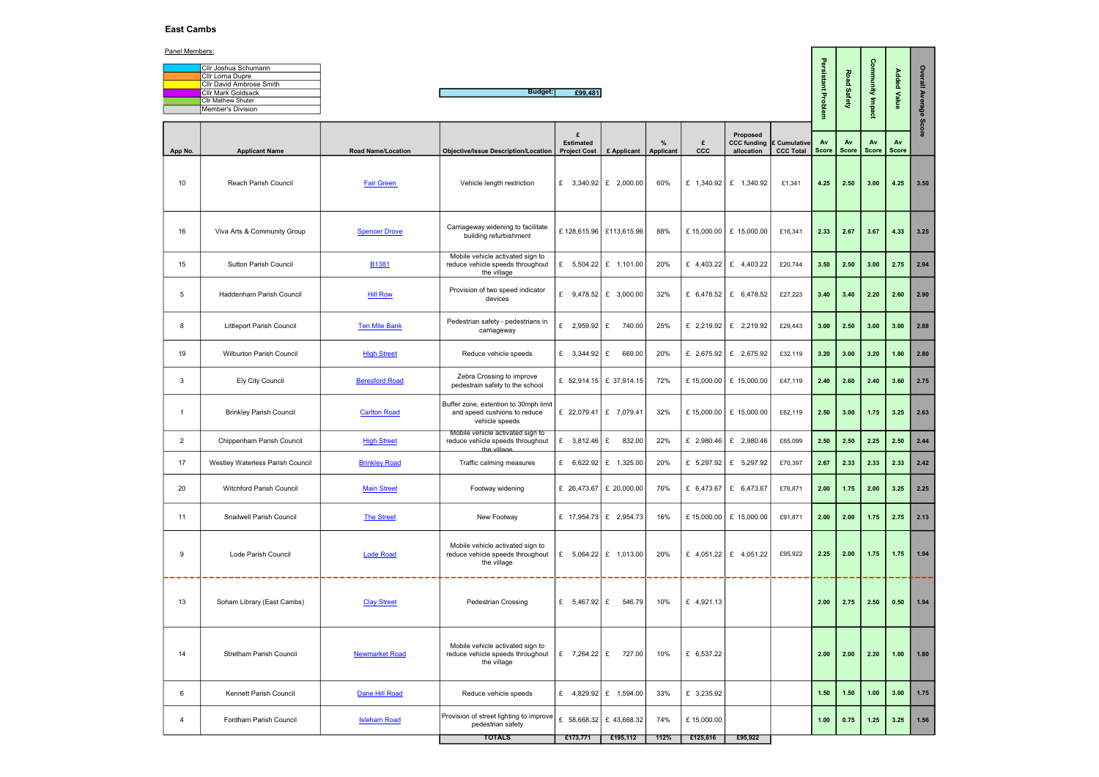# East Cambs

| <b>Cllr Joshua Schumann</b>     |
|---------------------------------|
| <b>Cllr Lorna Dupre</b>         |
| <b>Cllr David Ambrose Smith</b> |
| <b>Clir Mark Goldsack</b>       |
| <b>Cllr Mathew Shuter</b>       |
| Member's Division               |

| Panel Members: |                                                       |                           |                                                                                         |                                              |                         |                   |                 |                                                           |                  |                                     |                |                    |                           |                 |
|----------------|-------------------------------------------------------|---------------------------|-----------------------------------------------------------------------------------------|----------------------------------------------|-------------------------|-------------------|-----------------|-----------------------------------------------------------|------------------|-------------------------------------|----------------|--------------------|---------------------------|-----------------|
|                | Cllr Joshua Schumann                                  |                           |                                                                                         |                                              |                         |                   |                 |                                                           |                  | Persistant                          |                | Community Impact   |                           |                 |
|                | Cllr Lorna Dupre                                      |                           |                                                                                         |                                              |                         |                   |                 |                                                           |                  |                                     | Road Safety    |                    | <b>Added Value</b>        |                 |
|                | Cllr David Ambrose Smith<br><b>Cllr Mark Goldsack</b> |                           | <b>Budget:</b>                                                                          | £99,481                                      |                         |                   |                 |                                                           |                  |                                     |                |                    |                           |                 |
|                | Cllr Mathew Shuter                                    |                           |                                                                                         |                                              |                         |                   |                 |                                                           |                  |                                     |                |                    |                           |                 |
|                | Member's Division                                     |                           |                                                                                         |                                              |                         |                   |                 |                                                           |                  | Problem                             |                |                    |                           | Overall Average |
|                |                                                       |                           |                                                                                         |                                              |                         |                   |                 |                                                           |                  |                                     |                |                    |                           | ဖ               |
| App No.        | <b>Applicant Name</b>                                 | <b>Road Name/Location</b> | <b>Objective/Issue Description/Location</b>                                             | £<br><b>Estimated</b><br><b>Project Cost</b> | £ Applicant             | $\%$<br>Applicant | £<br><b>CCC</b> | Proposed<br><b>CCC funding E Cumulative</b><br>allocation | <b>CCC Total</b> | Av<br><b>Score</b>                  | Av<br>Score    | Av<br><b>Score</b> | <b>Av</b><br><b>Score</b> |                 |
| 10             | Reach Parish Council                                  | <b>Fair Green</b>         | Vehicle length restriction                                                              | £ 3,340.92   £ 2,000.00                      |                         | 60%               |                 | £ 1,340.92   £ 1,340.92                                   | £1,341           | 4.25                                | 2.50           | 3.00               | 4.25                      | 3.50            |
| 16             | Viva Arts & Community Group                           | <b>Spencer Drove</b>      | Carriageway widening to facilitate<br>building refurbishment                            | £128,615.96 £113,615.96                      |                         | 88%               |                 | £ 15,000.00   £ 15,000.00                                 | £16,341          | 2.33                                | 2.67           | 3.67               | 4.33                      | 3.25            |
| 15             | <b>Sutton Parish Council</b>                          | <b>B1381</b>              | Mobile vehicle activated sign to<br>reduce vehicle speeds throughout<br>the village     | £ $5,504.22$ £ 1,101.00                      |                         | 20%               |                 | £ 4,403.22 $\left  2 \right $ 4,403.22                    | £20,744          | 3.50                                | 2.50           | 3.00               | 2.75                      | 2.94            |
| 5              | Haddenham Parish Council                              | <b>Hill Row</b>           | Provision of two speed indicator<br>devices                                             | £ $9,478.52 \mid \pounds$ 3,000.00           |                         | 32%               |                 | £ 6,478.52   £ 6,478.52                                   | £27,223          | 3.40                                | 3.40           | 2.20               | 2.60                      | 2.90            |
| 8              | <b>Littleport Parish Council</b>                      | <b>Ten Mile Bank</b>      | Pedestrian safety - pedestrians in<br>carriageway                                       | £ 2,959.92 £                                 | 740.00                  | 25%               |                 | £ 2,219.92   £ 2,219.92                                   | £29,443          | 3.00                                | 2.50           | 3.00               | 3.00                      | 2.88            |
| 19             | <b>Wilburton Parish Council</b>                       | <b>High Street</b>        | Reduce vehicle speeds                                                                   | £ $3,344.92$ £                               | 669.00                  | 20%               |                 | £ 2,675.92   £ 2,675.92                                   | £32,119          | 3.20                                | 3.00           | 3.20               | 1.80                      | 2.80            |
| -3             | <b>Ely City Council</b>                               | <b>Beresford Road</b>     | Zebra Crossing to improve<br>pedestrain safety to the school                            | £ $52,914.15$ £ 37,914.15                    |                         | 72%               |                 | £ 15,000.00   £ 15,000.00                                 | £47,119          | 2.40                                | 2.60           | 2.40               | 3.60                      | 2.75            |
| $\overline{1}$ | <b>Brinkley Parish Council</b>                        | <b>Carlton Road</b>       | Buffer zone, extention to 30mph limit<br>and speed cushions to reduce<br>vehicle speeds | £ 22,079.41 $\mathbf{E}$ 7,079.41            |                         | 32%               |                 | £ 15,000.00   £ 15,000.00                                 | £62,119          | 2.50                                | 3.00           | 1.75               | 3.25                      | 2.63            |
| $\overline{2}$ | Chippenham Parish Council                             | <b>High Street</b>        | Mobile vehicle activated sign to<br>reduce vehicle speeds throughout<br>the village     | £ 3,812.46 $E$                               | 832.00                  | 22%               |                 | £ 2,980.46   £ 2,980.46                                   | £65,099          | 2.50                                | 2.50           | 2.25               | 2.50                      | 2.44            |
| 17             | Westley Waterless Parish Council                      | <b>Brinkley Road</b>      | Traffic calming measures                                                                |                                              | £ 6,622.92   £ 1,325.00 | 20%               |                 | £ $5,297.92 \mid$ £ $5,297.92 \mid$                       | £70,397          | $\begin{array}{c} 2.67 \end{array}$ | $ 2.33\rangle$ | 2.33   2.33   2.42 |                           |                 |
| 20             | Witchford Parish Council                              | <b>Main Street</b>        | Footway widening                                                                        | £ 26,473.67   £ 20,000.00                    |                         | 76%               |                 | £ 6,473.67   £ 6,473.67                                   | £76,871          | 2.00                                | 1.75           | 2.00               | 3.25                      | 2.25            |
| 11             | Snailwell Parish Council                              | <b>The Street</b>         | New Footway                                                                             | £ 17,954.73   £ 2,954.73                     |                         | 16%               |                 | £ 15,000.00   £ 15,000.00                                 | £91,871          | 2.00                                | 2.00           | 1.75               | 2.75                      | 2.13            |
| 9              | Lode Parish Council                                   | <b>Lode Road</b>          | Mobile vehicle activated sign to<br>reduce vehicle speeds throughout<br>the village     | £ $5,064.22$ £ 1,013.00                      |                         | 20%               |                 | £ 4,051.22 $\left  2 \right $ 4,051.22                    | £95,922          | 2.25                                | 2.00           | 1.75               | 1.75                      | 1.94            |
| 13             | Soham Library (East Cambs)                            | <b>Clay Street</b>        | <b>Pedestrian Crossing</b>                                                              | £ $5,467.92$ £ $546.79$                      |                         | 10%               | £ 4,921.13      |                                                           |                  | 2.00                                | 2.75           | 2.50               | 0.50                      | 1.94            |
| 14             | <b>Stretham Parish Council</b>                        | <b>Newmarket Road</b>     | Mobile vehicle activated sign to<br>reduce vehicle speeds throughout<br>the village     | £ 7,264.22 $\left  2 \right $ 727.00         |                         | 10%               | £ 6,537.22      |                                                           |                  | 2.00                                | 2.00           | 2.20               | 1.00                      | 1.80            |
| 6              | Kennett Parish Council                                | Dane Hill Road            | Reduce vehicle speeds                                                                   | £ 4,829.92   £ 1,594.00                      |                         | 33%               | £ 3,235.92      |                                                           |                  | 1.50                                | $1.50$         | 1.00               | 3.00                      | 1.75            |
| 4              | Fordham Parish Council                                | <b>Isleham Road</b>       | Provision of street lighting to improve<br>pedestrian safety                            | £ 58,668.32   £ 43,668.32                    |                         | 74%               | £15,000.00      |                                                           |                  | 1.00                                | 0.75           | 1.25               | 3.25                      | 1.56            |
|                |                                                       |                           | <b>TOTALS</b>                                                                           | £173,771                                     | £195,112                | 112%              | £125,616        | £95,922                                                   |                  |                                     |                |                    |                           |                 |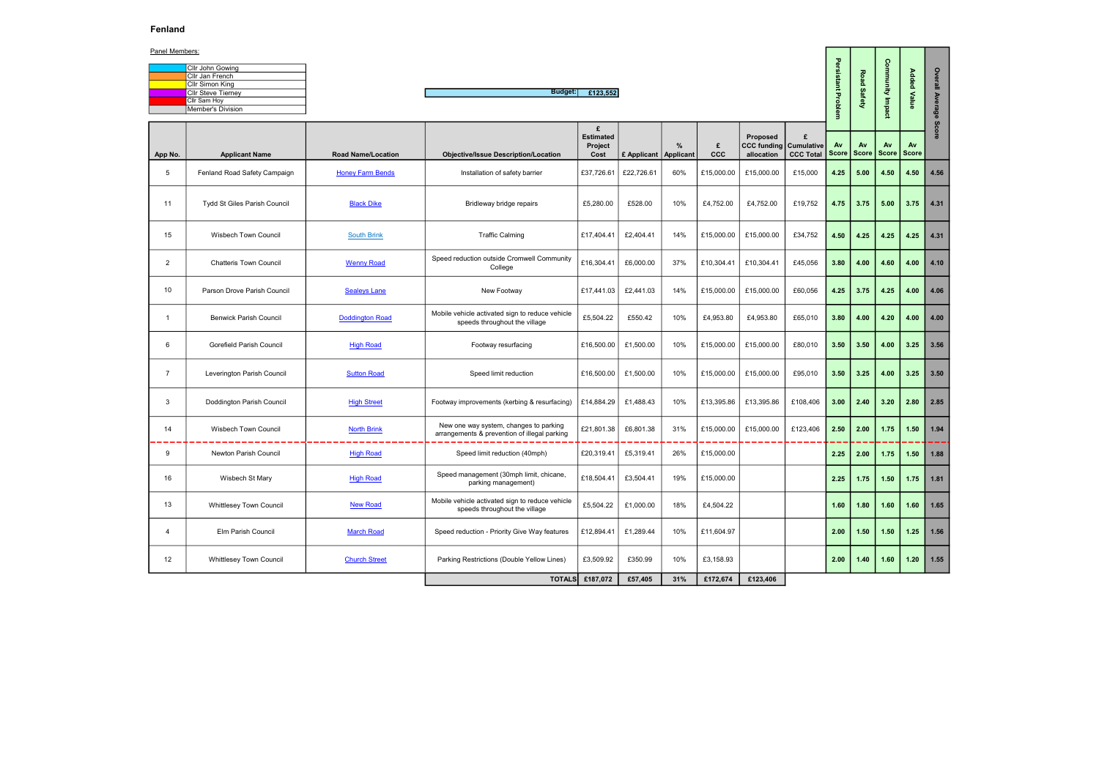# Fenland

| Cllr John Gowing          |
|---------------------------|
| Cllr Jan French           |
| Cllr Simon King           |
| <b>Cllr Steve Tiernev</b> |
| Cllr Sam Hoy              |
| Member's Division         |
|                           |

|--|

| Panel Members: |                                                                |                           |                                                                                        |                                          |                         |     |                 |                                                         |                |                    |                   |           |               |         |  |
|----------------|----------------------------------------------------------------|---------------------------|----------------------------------------------------------------------------------------|------------------------------------------|-------------------------|-----|-----------------|---------------------------------------------------------|----------------|--------------------|-------------------|-----------|---------------|---------|--|
|                | Cllr John Gowing<br>Cllr Jan French<br>Cllr Simon King         |                           |                                                                                        |                                          |                         |     |                 |                                                         |                | Persistant Problem | Road              | Community | Added         | Overall |  |
|                | <b>CIIr Steve Tierney</b><br>Cllr Sam Hoy<br>Member's Division |                           | Budget:                                                                                | £123,552                                 |                         |     |                 |                                                         |                |                    | ဖ<br>afety        | Impact    | Value         | Average |  |
| App No.        | <b>Applicant Name</b>                                          | <b>Road Name/Location</b> | <b>Objective/Issue Description/Location</b>                                            | £<br><b>Estimated</b><br>Project<br>Cost | £ Applicant   Applicant | %   | £<br><b>CCC</b> | Proposed<br><b>CCC funding Cumulative</b><br>allocation | £<br>CCC Total | Av<br><b>Score</b> | Av<br>Score Score | Av        | Av<br>  Score | Scor    |  |
| 5              | Fenland Road Safety Campaign                                   | <b>Honey Farm Bends</b>   | Installation of safety barrier                                                         | £37,726.61                               | £22,726.61              | 60% | £15,000.00      | £15,000.00                                              | £15,000        | 4.25               | 5.00              | 4.50      | 4.50          | 4.56    |  |
| 11             | <b>Tydd St Giles Parish Council</b>                            | <b>Black Dike</b>         | Bridleway bridge repairs                                                               | £5,280.00                                | £528.00                 | 10% | £4,752.00       | £4,752.00                                               | £19,752        | 4.75               | 3.75              | 5.00      | 3.75          | 4.31    |  |
| 15             | <b>Wisbech Town Council</b>                                    | <b>South Brink</b>        | <b>Traffic Calming</b>                                                                 | £17,404.41                               | £2,404.41               | 14% | £15,000.00      | £15,000.00                                              | £34,752        | 4.50               | 4.25              | 4.25      | 4.25          | 4.31    |  |
| $\overline{2}$ | <b>Chatteris Town Council</b>                                  | <b>Wenny Road</b>         | Speed reduction outside Cromwell Community<br>College                                  | £16,304.41                               | £6,000.00               | 37% | £10,304.41      | £10,304.41                                              | £45,056        | 3.80               | 4.00              | 4.60      | 4.00          | 4.10    |  |
| 10             | Parson Drove Parish Council                                    | <b>Sealeys Lane</b>       | New Footway                                                                            | £17,441.03                               | £2,441.03               | 14% | £15,000.00      | £15,000.00                                              | £60,056        | 4.25               | 3.75              | 4.25      | 4.00          | 4.06    |  |
| -1             | <b>Benwick Parish Council</b>                                  | <b>Doddington Road</b>    | Mobile vehicle activated sign to reduce vehicle<br>speeds throughout the village       | £5,504.22                                | £550.42                 | 10% | £4,953.80       | £4,953.80                                               | £65,010        | 3.80               | 4.00              | 4.20      | 4.00          | 4.00    |  |
| 6              | Gorefield Parish Council                                       | <b>High Road</b>          | Footway resurfacing                                                                    | £16,500.00                               | £1,500.00               | 10% | £15,000.00      | £15,000.00                                              | £80,010        | 3.50               | 3.50              | 4.00      | 3.25          | 3.56    |  |
| 7              | Leverington Parish Council                                     | <b>Sutton Road</b>        | Speed limit reduction                                                                  | £16,500.00                               | £1,500.00               | 10% | £15,000.00      | £15,000.00                                              | £95,010        | 3.50               | 3.25              | 4.00      | 3.25          | 3.50    |  |
| 3              | Doddington Parish Council                                      | <b>High Street</b>        | Footway improvements (kerbing & resurfacing)                                           | £14,884.29                               | £1,488.43               | 10% | £13,395.86      | £13,395.86                                              | £108,406       | 3.00               | 2.40              | 3.20      | 2.80          | 2.85    |  |
| 14             | <b>Wisbech Town Council</b>                                    | <b>North Brink</b>        | New one way system, changes to parking<br>arrangements & prevention of illegal parking | £21,801.38                               | £6,801.38               | 31% | £15,000.00      | £15,000.00                                              | £123,406       | 2.50               | 2.00              | 1.75      | 1.50          | 1.94    |  |
| 9              | <b>Newton Parish Council</b>                                   | <b>High Road</b>          | Speed limit reduction (40mph)                                                          | £20,319.41                               | £5,319.41               | 26% | £15,000.00      |                                                         |                | 2.25               | 2.00              | 1.75      | 1.50          | 1.88    |  |
| 16             | Wisbech St Mary                                                | <b>High Road</b>          | Speed management (30mph limit, chicane,<br>parking management)                         | £18,504.41                               | £3,504.41               | 19% | £15,000.00      |                                                         |                | 2.25               | 1.75              | $1.50$    | 1.75          | 1.81    |  |
| 13             | <b>Whittlesey Town Council</b>                                 | <b>New Road</b>           | Mobile vehicle activated sign to reduce vehicle<br>speeds throughout the village       | £5,504.22                                | £1,000.00               | 18% | £4,504.22       |                                                         |                | 1.60               | 1.80              | 1.60      | 1.60          | 1.65    |  |
| 4              | Elm Parish Council                                             | <b>March Road</b>         | Speed reduction - Priority Give Way features                                           | £12,894.41                               | £1,289.44               | 10% | £11,604.97      |                                                         |                | 2.00               | 1.50              | 1.50      | 1.25          | 1.56    |  |
| 12             | <b>Whittlesey Town Council</b>                                 | <b>Church Street</b>      | Parking Restrictions (Double Yellow Lines)                                             | £3,509.92                                | £350.99                 | 10% | £3,158.93       |                                                         |                | 2.00               | 1.40              | 1.60      | 1.20          | 1.55    |  |
|                |                                                                |                           |                                                                                        | <b>TOTALS</b> £187,072                   | £57,405                 | 31% | £172,674        | £123,406                                                |                |                    |                   |           |               |         |  |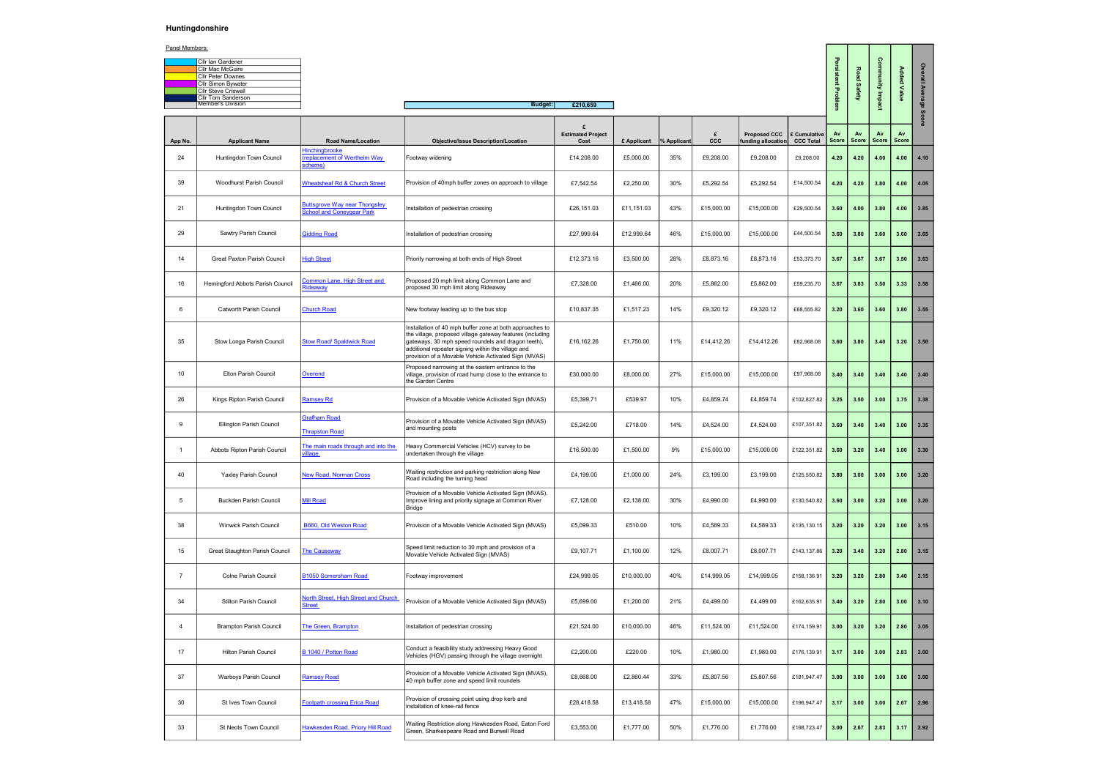## Huntingdonshire

| <b>Cllr Ian Gardener</b>   |
|----------------------------|
| <b>Cllr Mac McGuire</b>    |
| <b>Cllr Peter Downes</b>   |
| <b>Cllr Simon Bywater</b>  |
| <b>Cllr Steve Criswell</b> |
| <b>Cllr Tom Sanderson</b>  |
| Member's Division          |

| Panel Members: |                                                |                                                                          |                                                                                                                                                                                                                                                                                           |                                       |                            |     |            |                                    |                                  |             |                    |             |             |         |  |
|----------------|------------------------------------------------|--------------------------------------------------------------------------|-------------------------------------------------------------------------------------------------------------------------------------------------------------------------------------------------------------------------------------------------------------------------------------------|---------------------------------------|----------------------------|-----|------------|------------------------------------|----------------------------------|-------------|--------------------|-------------|-------------|---------|--|
|                | Cllr Ian Gardener                              |                                                                          |                                                                                                                                                                                                                                                                                           |                                       |                            |     |            |                                    |                                  |             |                    |             |             | Q       |  |
|                | Cllr Mac McGuire                               |                                                                          |                                                                                                                                                                                                                                                                                           |                                       |                            |     |            |                                    |                                  | rsistent    | Road               |             | Added       |         |  |
|                | Cllr Peter Downes<br><b>Cllr Simon Bywater</b> |                                                                          |                                                                                                                                                                                                                                                                                           |                                       |                            |     |            |                                    |                                  |             |                    | Munu        |             | 흴       |  |
|                | <b>Cllr Steve Criswell</b>                     |                                                                          |                                                                                                                                                                                                                                                                                           |                                       |                            |     |            |                                    |                                  |             | <b>Safety</b>      |             | $\,<\,$     |         |  |
|                | Cllr Tom Sanderson<br><b>Member's Division</b> |                                                                          |                                                                                                                                                                                                                                                                                           |                                       |                            |     |            |                                    |                                  | Proble      |                    | lmps        | ä           | Average |  |
|                |                                                |                                                                          | <b>Budget:</b>                                                                                                                                                                                                                                                                            | £210,659                              |                            |     |            |                                    |                                  |             |                    |             |             | Sci     |  |
| App No.        | <b>Applicant Name</b>                          | <b>Road Name/Location</b>                                                | <b>Objective/Issue Description/Location</b>                                                                                                                                                                                                                                               | £<br><b>Estimated Project</b><br>Cost | £ Applicant $\%$ Applicant |     | £<br>ccc   | Proposed CCC<br>funding allocation | £ Cumulative<br><b>CCC Total</b> | Av<br>Score | Av<br><b>Score</b> | Av<br>Score | Av<br>Score |         |  |
| 24             | Huntingdon Town Council                        | Hinchingbrooke<br>replacement of Wertheim Way<br>scheme)                 | Footway widening                                                                                                                                                                                                                                                                          | £14,208.00                            | £5,000.00                  | 35% | £9,208.00  | £9,208.00                          | £9,208.00                        | 4.20        | 4.20               | 4.00        | 4.00        | 4.10    |  |
| 39             | Woodhurst Parish Council                       | <b>Wheatsheaf Rd &amp; Church Street</b>                                 | Provision of 40mph buffer zones on approach to village                                                                                                                                                                                                                                    | £7,542.54                             | £2,250.00                  | 30% | £5,292.54  | £5,292.54                          | £14,500.54                       | 4.20        | 4.20               | 3.80        | 4.00        | 4.05    |  |
| 21             | Huntingdon Town Council                        | <b>Buttsgrove Way near Thongsley</b><br><b>School and Coneygear Park</b> | Installation of pedestrian crossing                                                                                                                                                                                                                                                       | £26,151.03                            | £11,151.03                 | 43% | £15,000.00 | £15,000.00                         | £29,500.54                       | 3.60        | 4.00               | 3.80        | 4.00        | 3.85    |  |
| 29             | Sawtry Parish Council                          | <b>Gidding Road</b>                                                      | Installation of pedestrian crossing                                                                                                                                                                                                                                                       | £27,999.64                            | £12,999.64                 | 46% | £15,000.00 | £15,000.00                         | £44,500.54                       | 3.60        | 3.80               | 3.60        | 3.60        | 3.65    |  |
| 14             | Great Paxton Parish Council                    | <b>High Street</b>                                                       | Priority narrowing at both ends of High Street                                                                                                                                                                                                                                            | £12,373.16                            | £3,500.00                  | 28% | £8,873.16  | £8,873.16                          | £53,373.70                       | 3.67        | 3.67               | 3.67        | 3.50        | 3.63    |  |
| 16             | Hemingford Abbots Parish Council               | <b>Common Lane, High Street and</b><br>ideaway                           | Proposed 20 mph limit along Common Lane and<br>proposed 30 mph limit along Rideaway                                                                                                                                                                                                       | £7,328.00                             | £1,466.00                  | 20% | £5,862.00  | £5,862.00                          | £59,235.70                       | 3.67        | 3.83               | 3.50        | 3.33        | 3.58    |  |
| 6              | <b>Catworth Parish Council</b>                 | <b>Church Road</b>                                                       | New footway leading up to the bus stop                                                                                                                                                                                                                                                    | £10,837.35                            | £1,517.23                  | 14% | £9,320.12  | £9,320.12                          | £68,555.82                       | 3.20        | 3.60               | 3.60        | 3.80        | 3.55    |  |
| 35             | Stow Longa Parish Council                      | <b>Stow Road/ Spaldwick Road</b>                                         | Installation of 40 mph buffer zone at both approaches to<br>the village, proposed village gateway features (including<br>gateways, 30 mph speed roundels and dragon teeth),<br>additional repeater signing within the village and<br>provision of a Movable Vehicle Activated Sign (MVAS) | £16,162.26                            | £1,750.00                  | 11% | £14,412.26 | £14,412.26                         | £82,968.08                       | 3.60        | 3.80               | 3.40        | 3.20        | 3.50    |  |
| 10             | Elton Parish Council                           | <b>Overend</b>                                                           | Proposed narrowing at the eastern entrance to the<br>village, provision of road hump close to the entrance to<br>the Garden Centre                                                                                                                                                        | £30,000.00                            | £8,000.00                  | 27% | £15,000.00 | £15,000.00                         | £97,968.08                       | 3.40        | 3.40               | 3.40        | 3.40        | 3.40    |  |
| 26             | Kings Ripton Parish Council                    | <b>Ramsey Rd</b>                                                         | Provision of a Movable Vehicle Activated Sign (MVAS)                                                                                                                                                                                                                                      | £5,399.71                             | £539.97                    | 10% | £4,859.74  | £4,859.74                          | £102,827.82                      | 3.25        | 3.50               | 3.00        | 3.75        | 3.38    |  |
| - 9            | Ellington Parish Council                       | <b>Grafham Road</b><br><b>Thrapston Road</b>                             | Provision of a Movable Vehicle Activated Sign (MVAS)<br>and mounting posts                                                                                                                                                                                                                | £5,242.00                             | £718.00                    | 14% | £4,524.00  | £4,524.00                          | £107,351.82                      | 3.60        | 3.40               | 3.40        | 3.00        | 3.35    |  |
|                | Abbots Ripton Parish Council                   | The main roads through and into the<br>illage                            | Heavy Commercial Vehicles (HCV) survey to be<br>undertaken through the village                                                                                                                                                                                                            | £16,500.00                            | £1,500.00                  | 9%  | £15,000.00 | £15,000.00                         | £122,351.82                      | 3.60        | 3.20               | 3.40        | 3.00        | 3.30    |  |
| 40             | <b>Yaxley Parish Council</b>                   | <b>New Road, Norman Cross</b>                                            | Waiting restriction and parking restriction along New<br>Road including the turning head                                                                                                                                                                                                  | £4,199.00                             | £1,000.00                  | 24% | £3,199.00  | £3,199.00                          | £125,550.82                      | 3.80        | 3.00               | 3.00        | 3.00        | 3.20    |  |
| 5              | <b>Buckden Parish Council</b>                  | <b>Mill Road</b>                                                         | Provision of a Movable Vehicle Activated Sign (MVAS).<br>Improve lining and priority signage at Common River<br>Bridge                                                                                                                                                                    | £7,128.00                             | £2,138.00                  | 30% | £4,990.00  | £4,990.00                          | £130,540.82                      | 3.60        | 3.00               | 3.20        | 3.00        | 3.20    |  |
| 38             | Winwick Parish Council                         | B660, Old Weston Road                                                    | Provision of a Movable Vehicle Activated Sign (MVAS)                                                                                                                                                                                                                                      | £5,099.33                             | £510.00                    | 10% | £4,589.33  | £4,589.33                          | £135,130.15                      | 3.20        | 3.20               | 3.20        | 3.00        | 3.15    |  |
| 15             | Great Staughton Parish Council                 | <b>The Causeway</b>                                                      | Speed limit reduction to 30 mph and provision of a<br>Movable Vehicle Activated Sign (MVAS)                                                                                                                                                                                               | £9,107.71                             | £1,100.00                  | 12% | £8,007.71  | £8,007.71                          | £143,137.86                      | 3.20        | 3.40               | 3.20        | 2.80        | 3.15    |  |
| - 7            | Colne Parish Council                           | B1050 Somersham Road                                                     | Footway improvement                                                                                                                                                                                                                                                                       | £24,999.05                            | £10,000.00                 | 40% | £14,999.05 | £14,999.05                         | £158,136.91                      | 3.20        | 3.20               | 2.80        | 3.40        | 3.15    |  |
| 34             | <b>Stilton Parish Council</b>                  | North Street, High Street and Church<br><b>Street</b>                    | Provision of a Movable Vehicle Activated Sign (MVAS)                                                                                                                                                                                                                                      | £5,699.00                             | £1,200.00                  | 21% | £4,499.00  | £4,499.00                          | £162,635.91                      | 3.40        | 3.20               | 2.80        | 3.00        | 3.10    |  |
| $\overline{4}$ | <b>Brampton Parish Council</b>                 | The Green, Brampton                                                      | Installation of pedestrian crossing                                                                                                                                                                                                                                                       | £21,524.00                            | £10,000.00                 | 46% | £11,524.00 | £11,524.00                         | £174,159.91                      | 3.00        | 3.20               | 3.20        | 2.80        | 3.05    |  |
| 17             | <b>Hilton Parish Council</b>                   | B 1040 / Potton Road                                                     | Conduct a feasibility study addressing Heavy Good<br>Vehicles (HGV) passing through the village overnight                                                                                                                                                                                 | £2,200.00                             | £220.00                    | 10% | £1,980.00  | £1,980.00                          | £176,139.91                      | 3.17        | 3.00               | 3.00        | 2.83        | 3.00    |  |
| 37             | Warboys Parish Council                         | <b>Ramsey Road</b>                                                       | Provision of a Movable Vehicle Activated Sign (MVAS),<br>40 mph buffer zone and speed limit roundels                                                                                                                                                                                      | £8,668.00                             | £2,860.44                  | 33% | £5,807.56  | £5,807.56                          | £181,947.47                      | 3.00        | 3.00               | 3.00        | 3.00        | 3.00    |  |
| 30             | St Ives Town Council                           | <b>Footpath crossing Erica Road</b>                                      | Provision of crossing point using drop kerb and<br>installation of knee-rail fence                                                                                                                                                                                                        | £28,418.58                            | £13,418.58                 | 47% | £15,000.00 | £15,000.00                         | £196,947.47                      | 3.17        | 3.00               | 3.00        | 2.67        | 2.96    |  |
| 33             | St Neots Town Council                          | Hawkesden Road, Priory Hill Road                                         | Waiting Restriction along Hawkesden Road, Eaton Ford<br>Green, Sharkespeare Road and Burwell Road                                                                                                                                                                                         | £3,553.00                             | £1,777.00                  | 50% | £1,776.00  | £1,776.00                          | £198,723.47                      | 3.00        | 2.67               | 2.83        | 3.17        | 2.92    |  |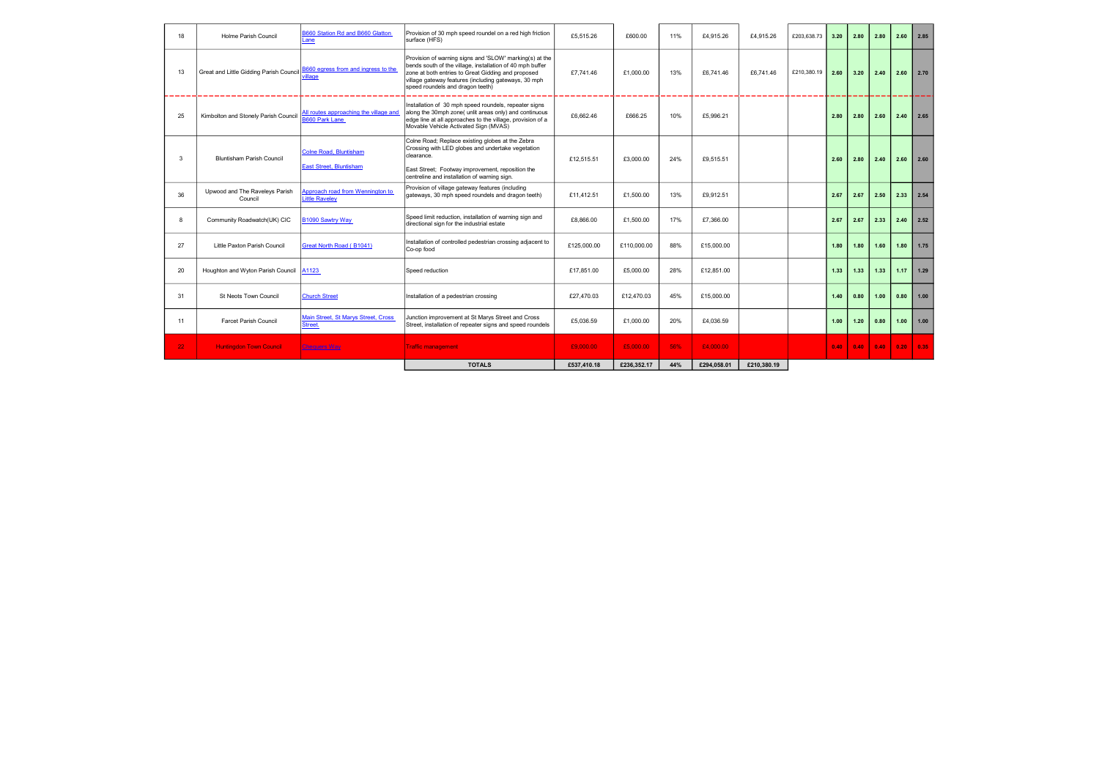| 18              | Holme Parish Council                      | B660 Station Rd and B660 Glatton<br>ane.                        | Provision of 30 mph speed roundel on a red high friction<br>surface (HFS)                                                                                                                                                                                              | £5.515.26   | £600.00     | 11% | £4.915.26   | £4.915.26   | £203,638.73 | 3.20 | 2.80 | 2.80 | 2.60 | 2.85 |
|-----------------|-------------------------------------------|-----------------------------------------------------------------|------------------------------------------------------------------------------------------------------------------------------------------------------------------------------------------------------------------------------------------------------------------------|-------------|-------------|-----|-------------|-------------|-------------|------|------|------|------|------|
| 13              | Great and Little Gidding Parish Council   | B660 egress from and ingress to the<br><i>r</i> illage          | Provision of warning signs and 'SLOW' marking(s) at the<br>bends south of the village, installation of 40 mph buffer<br>zone at both entries to Great Gidding and proposed<br>village gateway features (including gateways, 30 mph<br>speed roundels and dragon teeth) | £7.741.46   | £1,000.00   | 13% | £6.741.46   | £6.741.46   | £210.380.19 | 2.60 | 3.20 | 2.40 | 2.60 | 2.70 |
| 25              | Kimbolton and Stonely Parish Council      | All routes approaching the village and<br><b>B660 Park Lane</b> | Installation of 30 mph speed roundels, repeater signs<br>along the 30mph zone( unlit areas only) and continuous<br>edge line at all approaches to the village, provision of a<br>Movable Vehicle Activated Sign (MVAS)                                                 | £6.662.46   | £666.25     | 10% | £5.996.21   |             |             | 2.80 | 2.80 | 2.60 | 2.40 | 2.65 |
| 3               | <b>Bluntisham Parish Council</b>          | <b>Colne Road. Bluntisham</b><br>East Street, Bluntisham        | Colne Road; Replace existing globes at the Zebra<br>Crossing with LED globes and undertake vegetation<br>clearance.<br>East Street; Footway improvement, reposition the<br>centreline and installation of warning sign.                                                | £12,515.51  | £3,000.00   | 24% | £9.515.51   |             |             | 2.60 | 2.80 | 2.40 | 2.60 | 2.60 |
| 36              | Upwood and The Raveleys Parish<br>Council | Approach road from Wennington to<br>Little Raveley              | Provision of village gateway features (including<br>gateways, 30 mph speed roundels and dragon teeth)                                                                                                                                                                  | £11.412.51  | £1.500.00   | 13% | £9.912.51   |             |             | 2.67 | 2.67 | 2.50 | 2.33 | 2.54 |
| 8               | Community Roadwatch(UK) CIC               | B1090 Sawtry Way                                                | Speed limit reduction, installation of warning sign and<br>directional sign for the industrial estate                                                                                                                                                                  | £8,866.00   | £1,500.00   | 17% | £7,366.00   |             |             | 2.67 | 2.67 | 2.33 | 2.40 | 2.52 |
| 27              | Little Paxton Parish Council              | Great North Road (B1041)                                        | Installation of controlled pedestrian crossing adjacent to<br>Co-op food                                                                                                                                                                                               | £125,000.00 | £110,000.00 | 88% | £15,000.00  |             |             | 1.80 | 1.80 | 1.60 | 1.80 | 1.75 |
| 20              | Houghton and Wyton Parish Council         | A1123                                                           | Speed reduction                                                                                                                                                                                                                                                        | £17.851.00  | £5,000.00   | 28% | £12.851.00  |             |             | 1.33 | 1.33 | 1.33 | 1.17 | 1.29 |
| 31              | St Neots Town Council                     | <b>Church Street</b>                                            | Installation of a pedestrian crossing                                                                                                                                                                                                                                  | £27,470.03  | £12,470.03  | 45% | £15,000.00  |             |             | 1.40 | 0.80 | 1.00 | 0.80 | 1.00 |
| 11              | <b>Farcet Parish Council</b>              | Main Street, St Marys Street, Cross<br>Street.                  | Junction improvement at St Marys Street and Cross<br>Street, installation of repeater signs and speed roundels                                                                                                                                                         | £5.036.59   | £1.000.00   | 20% | £4,036.59   |             |             | 1.00 | 1.20 | 0.80 | 1.00 | 1.00 |
| 22 <sub>2</sub> | <b>Huntingdon Town Council</b>            | <b>Chequers Way</b>                                             | <b>Fraffic management</b>                                                                                                                                                                                                                                              | £9,000.00   | £5,000.00   | 56% | £4,000.00   |             |             | 0.40 | 0.40 | 0.40 | 0.20 | 0.35 |
|                 |                                           |                                                                 | <b>TOTALS</b>                                                                                                                                                                                                                                                          | £537.410.18 | £236.352.17 | 44% | £294.058.01 | £210.380.19 |             |      |      |      |      |      |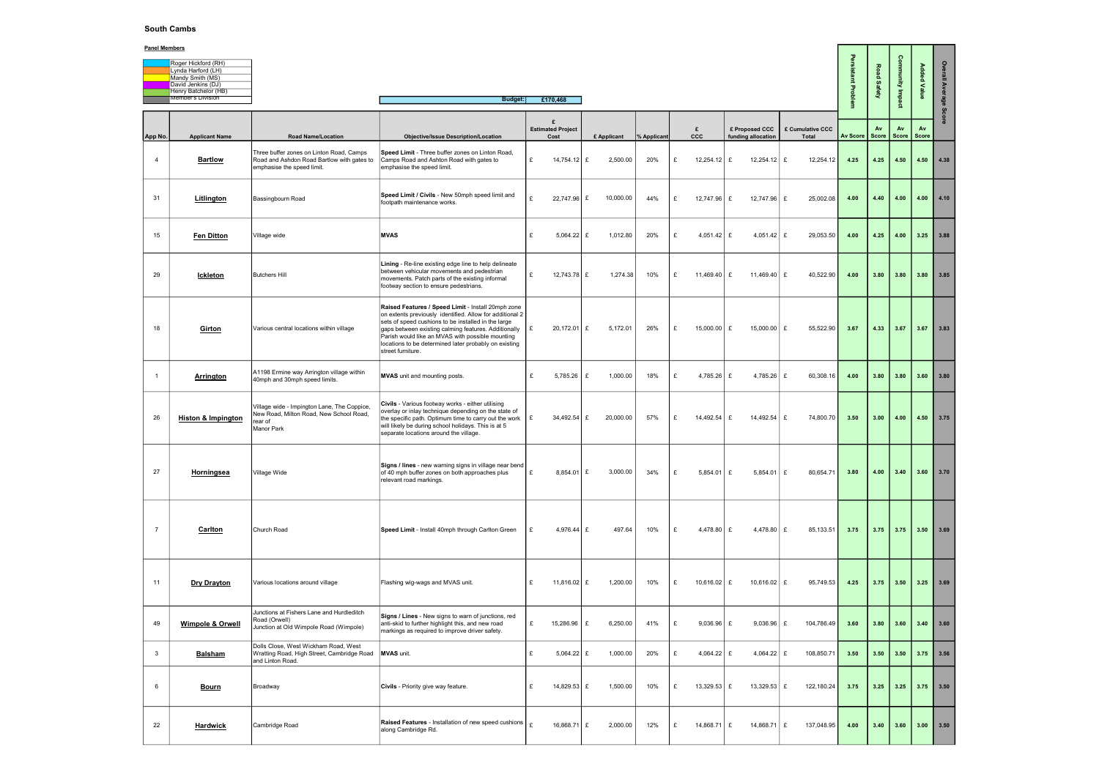## South Cambs

| Roger Hickford (RH)      |
|--------------------------|
| Lynda Harford (LH)       |
| Mandy Smith (MS)         |
| David Jenkins (DJ)       |
| Henry Batchelor (HB)     |
| <b>Member's Division</b> |

| <b>Panel Members</b> |                                                                                     |                                                                                                                      |                                                                                                                                                                                                                                                                                                                                                                 |              |                                       |               |             |   |               |                                      |                           |                 |             |                             |               |             |
|----------------------|-------------------------------------------------------------------------------------|----------------------------------------------------------------------------------------------------------------------|-----------------------------------------------------------------------------------------------------------------------------------------------------------------------------------------------------------------------------------------------------------------------------------------------------------------------------------------------------------------|--------------|---------------------------------------|---------------|-------------|---|---------------|--------------------------------------|---------------------------|-----------------|-------------|-----------------------------|---------------|-------------|
|                      | Roger Hickford (RH)<br>Lynda Harford (LH)<br>Mandy Smith (MS)<br>David Jenkins (DJ) |                                                                                                                      |                                                                                                                                                                                                                                                                                                                                                                 |              |                                       |               |             |   |               |                                      |                           | rsistant        | Road Safety | Munu                        | Added         | ≝           |
|                      | Henry Batchelor (HB)<br>Member's Division                                           |                                                                                                                      | <b>Budget:</b>                                                                                                                                                                                                                                                                                                                                                  |              | £170,468                              |               |             |   |               |                                      |                           | Problem         |             | ąщ<br>g                     | Value         |             |
| App No.              | <b>Applicant Name</b>                                                               | <b>Road Name/Location</b>                                                                                            | <b>Objective/Issue Description/Location</b>                                                                                                                                                                                                                                                                                                                     |              | £<br><b>Estimated Project</b><br>Cost | £ Applicant   | % Applicant |   | £<br>ccc      | £ Proposed CCC<br>funding allocation | £ Cumulative CCC<br>Total | <b>Av Score</b> | Av<br>Score | Av<br>Score                 | Av<br>Score   |             |
| $\overline{4}$       | <b>Bartlow</b>                                                                      | Three buffer zones on Linton Road, Camps<br>Road and Ashdon Road Bartlow with gates to<br>emphasise the speed limit. | Speed Limit - Three buffer zones on Linton Road,<br>Camps Road and Ashton Road with gates to<br>emphasise the speed limit.                                                                                                                                                                                                                                      | £            | 14,754.12 $E$                         | 2,500.00      | 20%         | £ | 12,254.12 $E$ | $12,254.12$ £                        | 12,254.12                 | 4.25            | 4.25        | 4.50                        | $4.50$ 4.38   |             |
| 31                   | <b>Litlington</b>                                                                   | Bassingbourn Road                                                                                                    | Speed Limit / Civils - New 50mph speed limit and<br>footpath maintenance works.                                                                                                                                                                                                                                                                                 |              | 22,747.96 £                           | 10,000.00     | 44%         | £ | 12,747.96 $E$ | 12,747.96 £                          | 25,002.08                 | 4.00            | 4.40        | 4.00                        |               | $4.00$ 4.10 |
| 15                   | <b>Fen Ditton</b>                                                                   | Village wide                                                                                                         | <b>MVAS</b>                                                                                                                                                                                                                                                                                                                                                     | £            | 5,064.22                              | 1,012.80<br>£ | 20%         | £ | 4,051.42 $E$  | 4,051.42   £                         | 29,053.50                 | 4.00            | 4.25        | 4.00                        | $3.25$ 3.88   |             |
| 29                   | <u>Ickleton</u>                                                                     | Butchers Hill                                                                                                        | Lining - Re-line existing edge line to help delineate<br>between vehicular movements and pedestrian<br>movements. Patch parts of the existing informal<br>footway section to ensure pedestrians.                                                                                                                                                                | £            | 12,743.78 £                           | 1,274.38      | 10%         | £ | 11,469.40 $E$ | 11,469.40 $E$                        | 40,522.90                 | 4.00            | 3.80        | 3.80                        | $3.80$ 3.85   |             |
| 18                   | <b>Girton</b>                                                                       | Various central locations within village                                                                             | Raised Features / Speed Limit - Install 20mph zone<br>on extents previously identified. Allow for additional 2<br>sets of speed cushions to be installed in the large<br>gaps between existing calming features. Additionally<br>Parish would like an MVAS with possible mounting<br>locations to be determined later probably on existing<br>street furniture. |              | $20,172.01$ £                         | 5,172.01      | 26%         | £ | 15,000.00   £ | 15,000.00   £                        | 55,522.90                 | 3.67            | 4.33        | 3.67                        | $3.67$ 3.83   |             |
|                      | <b>Arrington</b>                                                                    | A1198 Ermine way Arrington village within<br>40mph and 30mph speed limits.                                           | <b>MVAS</b> unit and mounting posts.                                                                                                                                                                                                                                                                                                                            | £            | 5,785.26                              | 1,000.00<br>£ | 18%         | £ | 4,785.26 £    | 4,785.26 $E$                         | 60,308.16                 | 4.00            | 3.80        | 3.80                        |               | $3.60$ 3.80 |
| 26                   | <b>Histon &amp; Impington</b>                                                       | Village wide - Impington Lane, The Coppice,<br>New Road, Milton Road, New School Road,<br>rear of<br>Manor Park      | Civils - Various footway works - either utilising<br>overlay or inlay technique depending on the state of<br>the specific path. Optimum time to carry out the work<br>will likely be during school holidays. This is at 5<br>separate locations around the village.                                                                                             | Ι£           | 34,492.54 $E$                         | 20,000.00     | 57%         | £ | 14,492.54     | 14,492.54 $E$<br>£                   | 74,800.70                 | 3.50            | 3.00        | 4.00                        |               | 4.50 $3.75$ |
| 27                   | <b>Horningsea</b>                                                                   | Village Wide                                                                                                         | Signs / lines - new warning signs in village near bend<br>of 40 mph buffer zones on both approaches plus<br>relevant road markings.                                                                                                                                                                                                                             |              | $8,854.01$ £                          | 3,000.00      | 34%         | £ | 5,854.01      | E<br>$5,854.01$ £                    | 80,654.71                 | 3.80            | 4.00        | 3.40                        |               | $3.60$ 3.70 |
| $\overline{7}$       | <b>Carlton</b>                                                                      | Church Road                                                                                                          | Speed Limit - Install 40mph through Carlton Green                                                                                                                                                                                                                                                                                                               | £            | 4,976.44 $E$                          | 497.64        | 10%         | £ | 4,478.80 $E$  | 4,478.80 $E$                         | 85,133.51                 | 3.75            |             | $3.75$ $3.75$ $3.50$ $3.69$ |               |             |
| 11                   | Dry Drayton                                                                         | Various locations around village                                                                                     | Flashing wig-wags and MVAS unit.                                                                                                                                                                                                                                                                                                                                | l £          | 11,816.02 E                           | 1,200.00      | 10%         | £ | $10,616.02$ £ | 10,616.02   £                        | 95,749.53                 | 4.25            | 3.75        | 3.50                        | $3.25$ 3.69   |             |
| 49                   | <b>Wimpole &amp; Orwell</b>                                                         | Junctions at Fishers Lane and Hurdleditch<br>Road (Orwell)<br>Junction at Old Wimpole Road (Wimpole)                 | Signs / Lines - New signs to warn of junctions, red<br>anti-skid to further highlight this, and new road<br>markings as required to improve driver safety.                                                                                                                                                                                                      | £            | 15,286.96                             | 6,250.00<br>£ | 41%         | £ | 9,036.96      | £<br>$9,036.96$   £                  | 104,786.49                | 3.60            | 3.80        | 3.60                        | $3.40$ $3.60$ |             |
| $\mathbf{3}$         | <u>Balsham</u>                                                                      | Dolls Close, West Wickham Road, West<br>Wratting Road, High Street, Cambridge Road<br>and Linton Road.               | <b>MVAS</b> unit.                                                                                                                                                                                                                                                                                                                                               | $\mathbf{f}$ | 5,064.22 $E$                          | 1,000.00      | 20%         | £ | 4,064.22 $E$  | 4,064.22   £                         | 108,850.71                | 3.50            | 3.50        | 3.50                        | $3.75$ 3.56   |             |
| 6                    | <u>Bourn</u>                                                                        | Broadway                                                                                                             | <b>Civils</b> - Priority give way feature.                                                                                                                                                                                                                                                                                                                      | £            | 14,829.53 £                           | 1,500.00      | 10%         | £ | $13,329.53$ £ | 13,329.53 $E$                        | 122,180.24                | 3.75            | 3.25        | 3.25                        | $3.75$ 3.50   |             |
| 22                   | <b>Hardwick</b>                                                                     | Cambridge Road                                                                                                       | Raised Features - Installation of new speed cushions<br>along Cambridge Rd.                                                                                                                                                                                                                                                                                     | $\mathbf{f}$ | 16,868.71 $E$                         | 2,000.00      | 12%         | £ | 14,868.71 $E$ | 14,868.71 E                          | 137,048.95                | 4.00            | 3.40        | 3.60                        | $3.00$ $3.50$ |             |

## Panel Members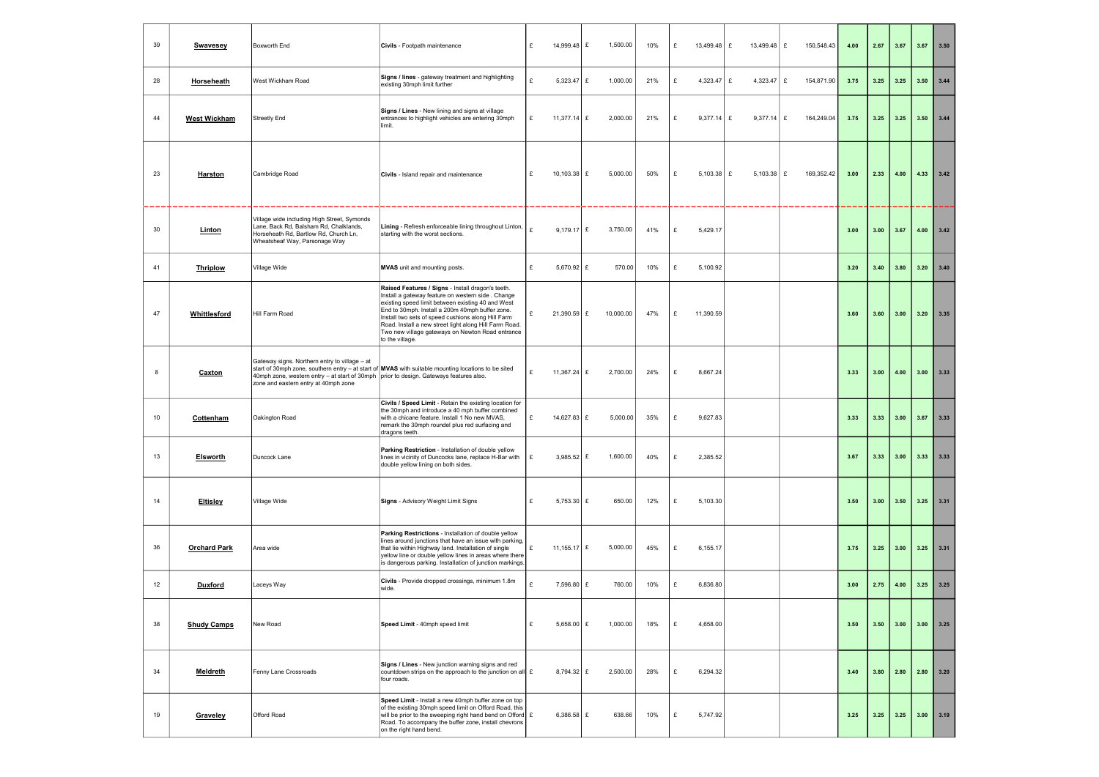| 39 | <b>Swavesey</b>     | Boxworth End                                                                                                                                                    | Civils - Footpath maintenance                                                                                                                                                                                                                                                                                                                                                                         | £ | 14,999.48     | £ | 1,500.00  | 10% | £ | 13,499.48<br>E | 13,499.48 $E$ | 150,548.43      | 4.00 | 2.67 | 3.67 | 3.67        | 3.50 |
|----|---------------------|-----------------------------------------------------------------------------------------------------------------------------------------------------------------|-------------------------------------------------------------------------------------------------------------------------------------------------------------------------------------------------------------------------------------------------------------------------------------------------------------------------------------------------------------------------------------------------------|---|---------------|---|-----------|-----|---|----------------|---------------|-----------------|------|------|------|-------------|------|
| 28 | Horseheath          | West Wickham Road                                                                                                                                               | Signs / lines - gateway treatment and highlighting<br>existing 30mph limit further                                                                                                                                                                                                                                                                                                                    | £ | $5,323.47$ £  |   | 1,000.00  | 21% | £ | 4,323.47 $E$   | 4,323.47      | £<br>154,871.90 | 3.75 | 3.25 | 3.25 | 3.50        | 3.44 |
| 44 | <b>West Wickham</b> | <b>Streetly End</b>                                                                                                                                             | Signs / Lines - New lining and signs at village<br>entrances to highlight vehicles are entering 30mph<br>limit.                                                                                                                                                                                                                                                                                       | £ | 11,377.14 £   |   | 2,000.00  | 21% | £ | 9,377.14   £   | $9,377.14$ £  | 164,249.04      | 3.75 | 3.25 | 3.25 | 3.50        | 3.44 |
| 23 | Harston             | Cambridge Road                                                                                                                                                  | Civils - Island repair and maintenance                                                                                                                                                                                                                                                                                                                                                                | £ | 10,103.38 $E$ |   | 5,000.00  | 50% | £ | 5,103.38 $E$   | 5,103.38 $E$  | 169,352.42      | 3.00 | 2.33 | 4.00 | 4.33        | 3.42 |
| 30 | Linton              | Village wide including High Street, Symonds<br>Lane, Back Rd, Balsham Rd, Chalklands,<br>Horseheath Rd, Bartlow Rd, Church Ln,<br>Wheatsheaf Way, Parsonage Way | Lining - Refresh enforceable lining throughout Linton,<br>starting with the worst sections.                                                                                                                                                                                                                                                                                                           | £ | 9,179.17 $E$  |   | 3,750.00  | 41% | £ | 5,429.17       |               |                 | 3.00 | 3.00 | 3.67 | 4.00        | 3.42 |
| 41 | <b>Thriplow</b>     | Village Wide                                                                                                                                                    | MVAS unit and mounting posts.                                                                                                                                                                                                                                                                                                                                                                         | £ | 5.670.92 $E$  |   | 570.00    | 10% | £ | 5,100.92       |               |                 | 3.20 | 3.40 | 3.80 | 3.20        | 3.40 |
| 47 | Whittlesford        | Hill Farm Road                                                                                                                                                  | Raised Features / Signs - Install dragon's teeth.<br>Install a gateway feature on western side. Change<br>existing speed limit between existing 40 and West<br>End to 30mph. Install a 200m 40mph buffer zone.<br>Install two sets of speed cushions along Hill Farm<br>Road. Install a new street light along Hill Farm Road.<br>Two new village gateways on Newton Road entrance<br>to the village. |   | $21,390.59$ £ |   | 10,000.00 | 47% | £ | 11,390.59      |               |                 | 3.60 | 3.60 | 3.00 | 3.20        | 3.35 |
| 8  | Caxton              | Gateway signs. Northern entry to village - at<br>40mph zone, western entry - at start of 30mph<br>zone and eastern entry at 40mph zone                          | start of 30mph zone, southern entry $-$ at start of <b>MVAS</b> with suitable mounting locations to be sited<br>prior to design. Gateways features also.                                                                                                                                                                                                                                              | £ | 11,367.24 £   |   | 2,700.00  | 24% | £ | 8,667.24       |               |                 | 3.33 | 3.00 | 4.00 | 3.00        | 3.33 |
| 10 | Cottenham           | Oakington Road                                                                                                                                                  | Civils / Speed Limit - Retain the existing location for<br>the 30mph and introduce a 40 mph buffer combined<br>with a chicane feature. Install 1 No new MVAS,<br>remark the 30mph roundel plus red surfacing and<br>dragons teeth.                                                                                                                                                                    | £ | 14,627.83 £   |   | 5,000.00  | 35% | £ | 9,627.83       |               |                 | 3.33 | 3.33 | 3.00 | 3.67        | 3.33 |
| 13 | <b>Elsworth</b>     | Duncock Lane                                                                                                                                                    | Parking Restriction - Installation of double yellow<br>lines in vicinity of Duncocks lane, replace H-Bar with<br>double yellow lining on both sides.                                                                                                                                                                                                                                                  | E | 3,985.52 $E$  |   | 1,600.00  | 40% | £ | 2,385.52       |               |                 | 3.67 | 3.33 | 3.00 | 3.33        | 3.33 |
| 14 | <b>Eltisley</b>     | Village Wide                                                                                                                                                    | Signs - Advisory Weight Limit Signs                                                                                                                                                                                                                                                                                                                                                                   | £ | 5,753.30 $E$  |   | 650.00    | 12% | £ | 5,103.30       |               |                 | 3.50 | 3.00 | 3.50 | $3.25$ 3.31 |      |
| 36 | <b>Orchard Park</b> | Area wide                                                                                                                                                       | Parking Restrictions - Installation of double yellow<br>lines around junctions that have an issue with parking,<br>that lie within Highway land. Installation of single<br>yellow line or double yellow lines in areas where there<br>is dangerous parking. Installation of junction markings.                                                                                                        | £ | 11,155.17 $E$ |   | 5,000.00  | 45% | £ | 6,155.17       |               |                 | 3.75 | 3.25 | 3.00 | 3.25        | 3.31 |
| 12 | Duxford             | Laceys Way                                                                                                                                                      | Civils - Provide dropped crossings, minimum 1.8m<br>wide.                                                                                                                                                                                                                                                                                                                                             | £ | 7,596.80 $E$  |   | 760.00    | 10% | £ | 6,836.80       |               |                 | 3.00 | 2.75 | 4.00 | 3.25        | 3.25 |
| 38 | <b>Shudy Camps</b>  | New Road                                                                                                                                                        | Speed Limit - 40mph speed limit                                                                                                                                                                                                                                                                                                                                                                       | £ | $5,658.00$ £  |   | 1,000.00  | 18% | £ | 4,658.00       |               |                 | 3.50 | 3.50 | 3.00 | 3.00        | 3.25 |
| 34 | Meldreth            | Fenny Lane Crossroads                                                                                                                                           | Signs / Lines - New junction warning signs and red<br>countdown strips on the approach to the junction on all $\epsilon$<br>four roads.                                                                                                                                                                                                                                                               |   | 8,794.32 £    |   | 2,500.00  | 28% | £ | 6,294.32       |               |                 | 3.40 | 3.80 | 2.80 | 2.80        | 3.20 |
| 19 | Graveley            | Offord Road                                                                                                                                                     | Speed Limit - Install a new 40mph buffer zone on top<br>of the existing 30mph speed limit on Offord Road, this<br>will be prior to the sweeping right hand bend on Offord $\mathbf{E}$<br>Road. To accompany the buffer zone, install chevrons<br>on the right hand bend.                                                                                                                             |   | 6,386.58 $E$  |   | 638.66    | 10% | £ | 5,747.92       |               |                 | 3.25 | 3.25 | 3.25 | 3.00        | 3.19 |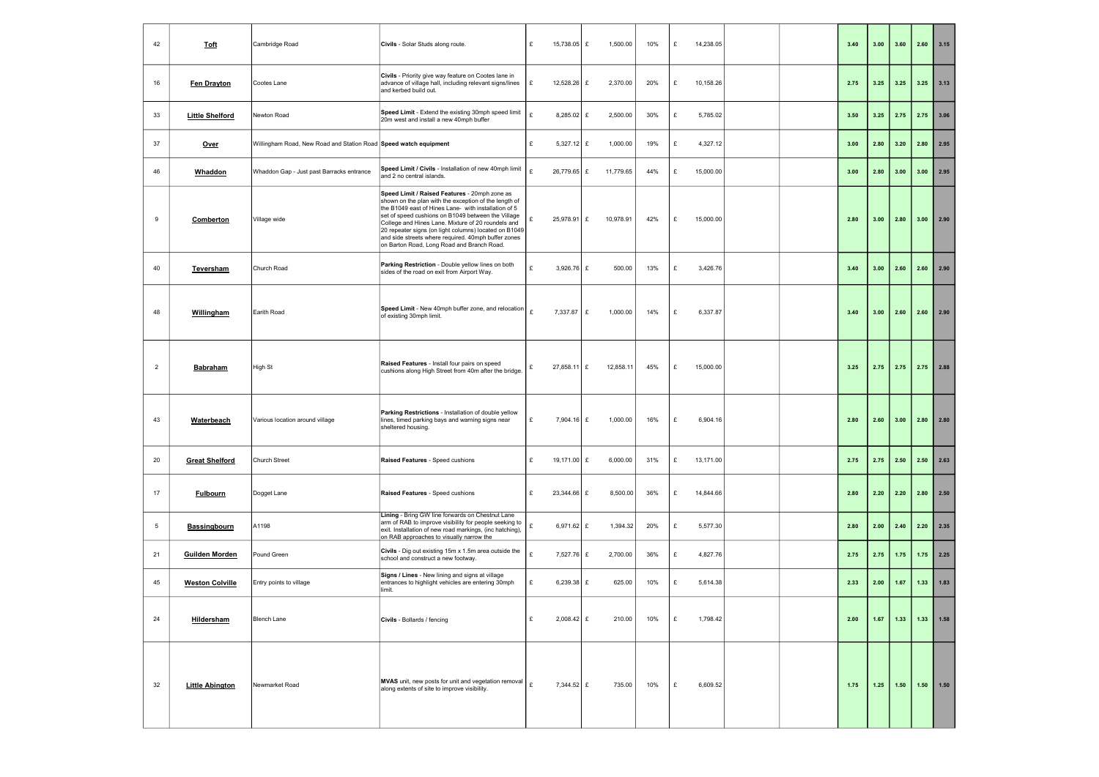| 42              | <b>Toft</b>            | Cambridge Road                                                   | Civils - Solar Studs along route.                                                                                                                                                                                                                                                                                                                                                                                                        | 15,738.05 $E$<br>£          | 1,500.00  | 10% | £ | 14,238.05 |  | 3.40 | 3.00 | 3.60 | 2.60 | 3.15   |
|-----------------|------------------------|------------------------------------------------------------------|------------------------------------------------------------------------------------------------------------------------------------------------------------------------------------------------------------------------------------------------------------------------------------------------------------------------------------------------------------------------------------------------------------------------------------------|-----------------------------|-----------|-----|---|-----------|--|------|------|------|------|--------|
| 16              | Fen Drayton            | Cootes Lane                                                      | Civils - Priority give way feature on Cootes lane in<br>advance of village hall, including relevant signs/lines<br>and kerbed build out.                                                                                                                                                                                                                                                                                                 | 12.528.26 £<br>£            | 2,370.00  | 20% | £ | 10,158.26 |  | 2.75 | 3.25 | 3.25 | 3.25 | 3.13   |
| 33              | <b>Little Shelford</b> | Newton Road                                                      | Speed Limit - Extend the existing 30mph speed limit<br>20m west and install a new 40mph buffer                                                                                                                                                                                                                                                                                                                                           | 8,285.02 £<br>£             | 2,500.00  | 30% | £ | 5,785.02  |  | 3.50 | 3.25 | 2.75 | 2.75 | 3.06   |
| 37              | <u>Over</u>            | Willingham Road, New Road and Station Road Speed watch equipment |                                                                                                                                                                                                                                                                                                                                                                                                                                          | £<br>5,327.12 $E$           | 1,000.00  | 19% | £ | 4,327.12  |  | 3.00 | 2.80 | 3.20 | 2.80 | 2.95   |
| 46              | Whaddon                | Whaddon Gap - Just past Barracks entrance                        | Speed Limit / Civils - Installation of new 40mph limit<br>and 2 no central islands.                                                                                                                                                                                                                                                                                                                                                      | 26,779.65 £<br>$\mathbf{f}$ | 11,779.65 | 44% | £ | 15,000.00 |  | 3.00 | 2.80 | 3.00 | 3.00 | 2.95   |
| 9               | Comberton              | Village wide                                                     | Speed Limit / Raised Features - 20mph zone as<br>shown on the plan with the exception of the length of<br>the B1049 east of Hines Lane- with installation of 5<br>set of speed cushions on B1049 between the Village<br>College and Hines Lane. Mixture of 20 roundels and<br>20 repeater signs (on light columns) located on B1049<br>and side streets where required. 40mph buffer zones<br>on Barton Road, Long Road and Branch Road. | $25,978.91$ £               | 10,978.91 | 42% | £ | 15,000.00 |  | 2.80 | 3.00 | 2.80 | 3.00 | 2.90   |
| 40              | Teversham              | Church Road                                                      | Parking Restriction - Double yellow lines on both<br>sides of the road on exit from Airport Way.                                                                                                                                                                                                                                                                                                                                         | 3,926.76 $E$<br>£           | 500.00    | 13% | £ | 3,426.76  |  | 3.40 | 3.00 | 2.60 | 2.60 | 2.90   |
| 48              | Willingham             | Earith Road                                                      | Speed Limit - New 40mph buffer zone, and relocation<br>of existing 30mph limit.                                                                                                                                                                                                                                                                                                                                                          | £<br>$7,337.87$ £           | 1,000.00  | 14% | £ | 6,337.87  |  | 3.40 | 3.00 | 2.60 | 2.60 | 2.90   |
| $\overline{2}$  | <b>Babraham</b>        | High St                                                          | Raised Features - Install four pairs on speed<br>cushions along High Street from 40m after the bridge.                                                                                                                                                                                                                                                                                                                                   | 27,858.11 £<br>£            | 12,858.11 | 45% | £ | 15,000.00 |  | 3.25 | 2.75 | 2.75 | 2.75 | 2.88   |
| 43              | <b>Waterbeach</b>      | Various location around village                                  | Parking Restrictions - Installation of double yellow<br>lines, timed parking bays and warning signs near<br>sheltered housing.                                                                                                                                                                                                                                                                                                           | £<br>7.904.16 $E$           | 1,000.00  | 16% | £ | 6,904.16  |  | 2.80 | 2.60 | 3.00 | 2.80 | 2.80   |
| 20              | <b>Great Shelford</b>  | <b>Church Street</b>                                             | Raised Features - Speed cushions                                                                                                                                                                                                                                                                                                                                                                                                         | £<br>19,171.00 £            | 6,000.00  | 31% | £ | 13,171.00 |  | 2.75 | 2.75 | 2.50 | 2.50 | 2.63   |
| 17              | <b>Fulbourn</b>        | Dogget Lane                                                      | Raised Features - Speed cushions                                                                                                                                                                                                                                                                                                                                                                                                         | £<br>23,344.66 £            | 8,500.00  | 36% | £ | 14,844.66 |  | 2.80 | 2.20 | 2.20 | 2.80 | 2.50   |
| $5\overline{)}$ | <b>Bassingbourn</b>    | A1198                                                            | Lining - Bring GW line forwards on Chestnut Lane<br>arm of RAB to improve visibility for people seeking to<br>exit. Installation of new road markings, (inc hatching),<br>on RAB approaches to visually narrow the                                                                                                                                                                                                                       | £<br>6,971.62 £             | 1,394.32  | 20% | £ | 5,577.30  |  | 2.80 | 2.00 | 2.40 | 2.20 | 2.35   |
| 21              | <b>Guilden Morden</b>  | Pound Green                                                      | <b>Civils</b> - Dig out existing 15m x 1.5m area outside the<br>school and construct a new footway.                                                                                                                                                                                                                                                                                                                                      | 7,527.76 £<br>£             | 2,700.00  | 36% | £ | 4,827.76  |  | 2.75 | 2.75 | 1.75 | 1.75 | 2.25   |
| 45              | <b>Weston Colville</b> | Entry points to village                                          | Signs / Lines - New lining and signs at village<br>entrances to highlight vehicles are entering 30mph<br>limit.                                                                                                                                                                                                                                                                                                                          | 6,239.38 £<br>£             | 625.00    | 10% | £ | 5,614.38  |  | 2.33 | 2.00 | 1.67 | 1.33 | 1.83   |
| 24              | Hildersham             | <b>Blench Lane</b>                                               | <b>Civils</b> - Bollards / fencing                                                                                                                                                                                                                                                                                                                                                                                                       | $2,008.42$ £<br>£           | 210.00    | 10% | £ | 1,798.42  |  | 2.00 | 1.67 | 1.33 | 1.33 | $1.58$ |
| 32              | <b>Little Abington</b> | Newmarket Road                                                   | MVAS unit, new posts for unit and vegetation removal<br>along extents of site to improve visibility.                                                                                                                                                                                                                                                                                                                                     | $\mathbf{f}$<br>7,344.52 £  | 735.00    | 10% | £ | 6,609.52  |  | 1.75 | 1.25 | 1.50 | 1.50 | 1.50   |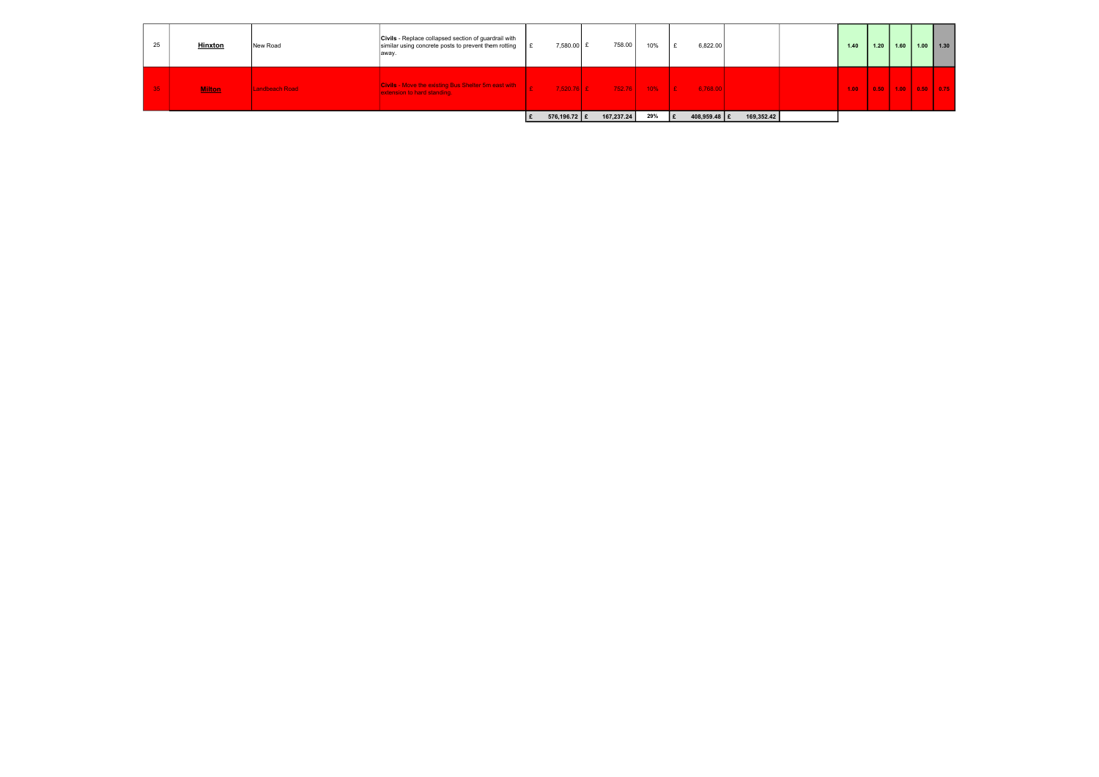| 25              | <b>Hinxton</b> | New Road       | <b>Civils</b> - Replace collapsed section of guardrail with<br>similar using concrete posts to prevent them rotting<br>away. | 7,580.00 £     | 758.00     | 10% | 6,822.00                |            | 1.40 | 1.20 | 1.60                                        | $1.00$   1.30 |  |
|-----------------|----------------|----------------|------------------------------------------------------------------------------------------------------------------------------|----------------|------------|-----|-------------------------|------------|------|------|---------------------------------------------|---------------|--|
| 35 <sub>1</sub> | <b>Milton</b>  | Landbeach Road | <b>Civils - Move the existing Bus Shelter 5m east with</b><br>extension to hard standing.                                    | $7.520.76$ E   |            |     | $752.76$ 10% E 6,768.00 |            | 1.00 |      | 0.50 $\vert$ 1.00 $\vert$ 0.50 $\vert$ 0.75 |               |  |
|                 |                |                |                                                                                                                              | 576,196.72   £ | 167,237.24 | 29% | 408,959.48   £          | 169,352.42 |      |      |                                             |               |  |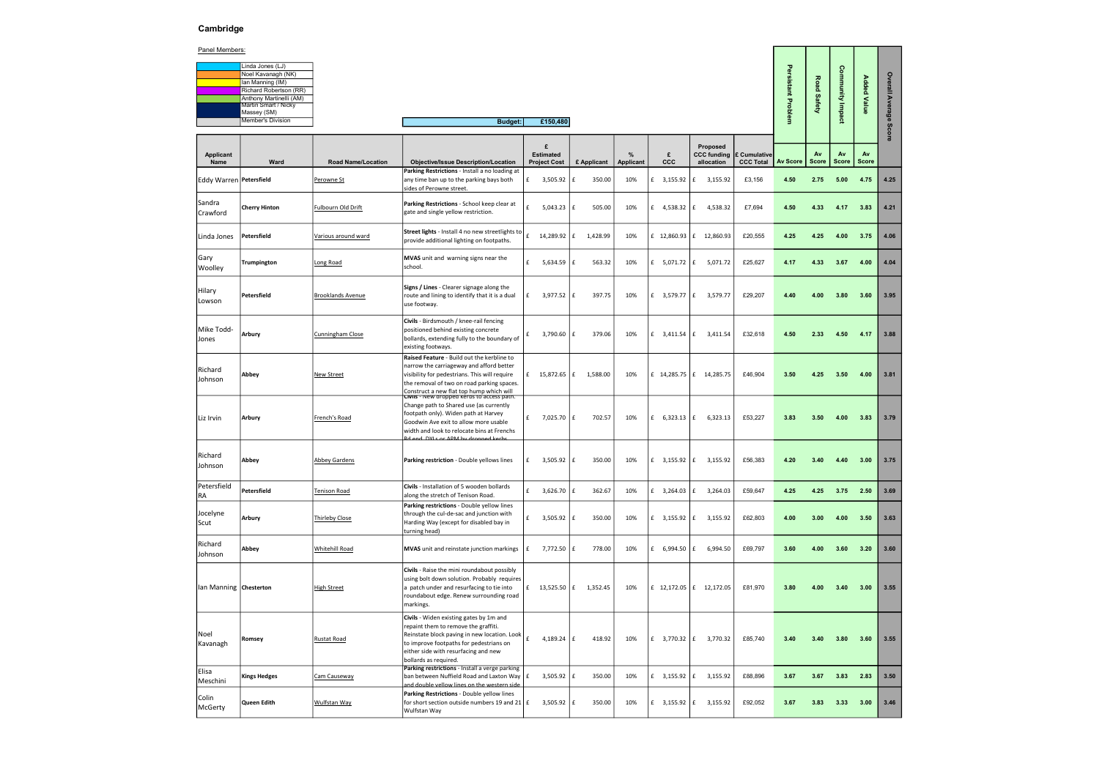# Cambridge

## Panel Members:

| Linda Jones (LJ)         |
|--------------------------|
| Noel Kavanagh (NK)       |
| Ian Manning (IM)         |
| Richard Robertson (RR)   |
| Anthony Martinelli (AM)  |
| Martin Smart / Nicky     |
| Massey (SM)              |
| <b>Member's Division</b> |

|                                             |                                  | Persistant Problem | Road Safety        | Community Impact   | <b>Added Value</b> | Overall Average Score |
|---------------------------------------------|----------------------------------|--------------------|--------------------|--------------------|--------------------|-----------------------|
| Proposed<br><b>CC</b> funding<br>allocation | £ Cumulative<br><b>CCC Total</b> | <b>Av Score</b>    | Av<br><b>Score</b> | Av<br><b>Score</b> | Av<br><b>Score</b> |                       |
| 3,155.92                                    | £3,156                           | 4.50               | 2.75               | 5.00               | 4.75               | 4.25                  |
| 4,538.32                                    | £7,694                           | 4.50               | 4.33               | 4.17               | 3.83               | 4.21                  |
| 12,860.93                                   | £20,555                          | 4.25               | 4.25               | 4.00               | 3.75               | 4.06                  |
| 5,071.72                                    | £25,627                          | 4.17               | 4.33               | 3.67               | 4.00               | 4.04                  |
| 3,579.77                                    | £29,207                          | 4.40               | 4.00               | 3.80               | 3.60               | 3.95                  |
| 3,411.54                                    | £32,618                          | 4.50               | 2.33               | 4.50               | 4.17               | 3.88                  |
| 14,285.75                                   | £46,904                          | 3.50               | 4.25               | 3.50               | 4.00               | 3.81                  |
| 6,323.13                                    | £53,227                          | 3.83               | 3.50               | 4.00               | 3.83               | 3.79                  |
| 3,155.92                                    | £56,383                          | 4.20               | 3.40               | 4.40               | 3.00               | 3.75                  |
| 3,264.03                                    | £59,647                          | 4.25               | 4.25               | 3.75               | 2.50               | 3.69                  |
| 3,155.92                                    | £62,803                          | 4.00               | 3.00               | 4.00               | 3.50               | 3.63                  |
| 6,994.50                                    | £69,797                          | 3.60               | 4.00               | $3.60$             | 3.20               | 3.60                  |
| 12,172.05                                   | £81,970                          | $3.80\,$           | $4.00\,$           | 3.40               | 3.00               | 3.55                  |
| 3,770.32                                    | £85,740                          | 3.40               | 3.40               | $3.80\,$           | $3.60\,$           | 3.55                  |
| 3,155.92                                    | £88,896                          | 3.67               | 3.67               | 3.83               | 2.83               | 3.50                  |
| 3,155.92                                    | £92,052                          | 3.67               | 3.83               | 3.33               | $3.00$             | 3.46                  |

|                           | Noel Kavanagh (NK)<br>Ian Manning (IM)          |                           |                                                                                                                                                                                                                                                                                 |                        |     |                            |                  |                  |                                             |                  |                | <b>Road</b>  | ommunity Impact |                    | Overall  |
|---------------------------|-------------------------------------------------|---------------------------|---------------------------------------------------------------------------------------------------------------------------------------------------------------------------------------------------------------------------------------------------------------------------------|------------------------|-----|----------------------------|------------------|------------------|---------------------------------------------|------------------|----------------|--------------|-----------------|--------------------|----------|
|                           | Richard Robertson (RR)                          |                           |                                                                                                                                                                                                                                                                                 |                        |     |                            |                  |                  |                                             |                  | sistant        |              |                 | <b>Added Value</b> |          |
|                           | Anthony Martinelli (AM)<br>Martin Smart / Nicky |                           |                                                                                                                                                                                                                                                                                 |                        |     |                            |                  |                  |                                             |                  |                | Safety       |                 |                    | Average: |
|                           | Massey (SM)                                     |                           |                                                                                                                                                                                                                                                                                 |                        |     |                            |                  |                  |                                             |                  | <b>Problem</b> |              |                 |                    |          |
|                           | <b>Member's Division</b>                        |                           | <b>Budget:</b>                                                                                                                                                                                                                                                                  | £150,480               |     |                            |                  |                  |                                             |                  |                |              |                 |                    |          |
|                           |                                                 |                           |                                                                                                                                                                                                                                                                                 |                        |     |                            |                  |                  |                                             |                  |                |              |                 |                    | Score    |
| Applicant                 |                                                 |                           |                                                                                                                                                                                                                                                                                 | £<br><b>Estimated</b>  |     |                            | $\%$             | £                | Proposed<br><b>CCC funding E Cumulative</b> |                  |                | Av           | Av              | Av                 |          |
| Name                      | Ward                                            | <b>Road Name/Location</b> | <b>Objective/Issue Description/Location</b>                                                                                                                                                                                                                                     | <b>Project Cost</b>    |     | £ Applicant                | <b>Applicant</b> | ccc              | allocation                                  | <b>CCC Total</b> | Av Score       | <b>Score</b> | Score           | <b>Score</b>       |          |
| Eddy Warren   Petersfield |                                                 | Perowne St                | Parking Restrictions - Install a no loading at<br>any time ban up to the parking bays both                                                                                                                                                                                      | $f = 3,505.92$ $f$     |     | 350.00                     | 10%              | £ 3,155.92 $ f $ | 3,155.92                                    | £3,156           | 4.50           | 2.75         | 5.00            | 4.75               | 4.25     |
|                           |                                                 |                           | sides of Perowne street.                                                                                                                                                                                                                                                        |                        |     |                            |                  |                  |                                             |                  |                |              |                 |                    |          |
| Sandra<br>Crawford        | <b>Cherry Hinton</b>                            | <b>Fulbourn Old Drift</b> | Parking Restrictions - School keep clear at<br>gate and single yellow restriction.                                                                                                                                                                                              | £<br>5,043.23          | l £ | 505.00                     | 10%              | £ 4,538.32       | l £<br>4,538.32                             | £7,694           | 4.50           | 4.33         | 4.17            | 3.83               | 4.21     |
| Linda Jones               | Petersfield                                     | Various around ward       | Street lights - Install 4 no new streetlights to<br>provide additional lighting on footpaths.                                                                                                                                                                                   | $f = 14,289.92 \mid f$ |     | 1,428.99                   | 10%              |                  | £ 12,860.93   £ 12,860.93                   | £20,555          | 4.25           | 4.25         | 4.00            | 3.75               | 4.06     |
| Gary<br>Woolley           | Trumpington                                     | Long Road                 | MVAS unit and warning signs near the<br>school.                                                                                                                                                                                                                                 | f<br>$5,634.59$ $E$    |     | 563.32                     | 10%              | £ $5,071.72$ $E$ | 5,071.72                                    | £25,627          | 4.17           | 4.33         | 3.67            | 4.00               | 4.04     |
| Hilary<br>Lowson          | Petersfield                                     | <b>Brooklands Avenue</b>  | Signs / Lines - Clearer signage along the<br>route and lining to identify that it is a dual<br>use footway.                                                                                                                                                                     | $3,977.52 \mid f$<br>£ |     | 397.75                     | 10%              | £ 3,579.77 $E$   | 3,579.77                                    | £29,207          | 4.40           | 4.00         | 3.80            | 3.60               | 3.95     |
| Mike Todd-<br>Jones       | Arbury                                          | Cunningham Close          | Civils - Birdsmouth / knee-rail fencing<br>positioned behind existing concrete<br>bollards, extending fully to the boundary of<br>existing footways.                                                                                                                            | 3,790.60 $E$<br>£      |     | 379.06                     | 10%              | £ $3,411.54$ $E$ | 3,411.54                                    | £32,618          | 4.50           | 2.33         | 4.50            | 4.17               | 3.88     |
| Richard<br>Johnson        | Abbey                                           | <b>New Street</b>         | Raised Feature - Build out the kerbline to<br>narrow the carriageway and afford better<br>visibility for pedestrians. This will require<br>the removal of two on road parking spaces.<br>Construct a new flat top hump which will<br>CIVIIS - New groppeg kerbs to access path. |                        |     | £ $15,872.65$ $E$ 1,588.00 | 10%              |                  | £ 14,285.75 $ E$ 14,285.75                  | £46,904          | 3.50           | 4.25         | 3.50            | 4.00               | 3.81     |
| Liz Irvin                 | Arbury                                          | French's Road             | Change path to Shared use (as currently<br>footpath only). Widen path at Harvey<br>Goodwin Ave exit to allow more usable<br>width and look to relocate bins at Frenchs<br>d and DVIs or ADM by dropped kerk                                                                     | $f = 7,025.70$ $f$     |     | 702.57                     | 10%              | £ $6,323.13$ $E$ | 6,323.13                                    | £53,227          | 3.83           | 3.50         | 4.00            | 3.83               | 3.79     |
| Richard<br>Johnson        | Abbey                                           | <b>Abbey Gardens</b>      | Parking restriction - Double yellows lines                                                                                                                                                                                                                                      | $3,505.92 \mid f$<br>£ |     | 350.00                     | 10%              | £ 3,155.92 $ f $ | 3,155.92                                    | £56,383          | 4.20           | 3.40         | 4.40            | 3.00               | 3.75     |
| Petersfield<br>RA         | Petersfield                                     | <b>Tenison Road</b>       | Civils - Installation of 5 wooden bollards<br>along the stretch of Tenison Road.                                                                                                                                                                                                | 3,626.70 $E$<br>£      |     | 362.67                     | 10%              | £ 3,264.03 $ E $ | 3,264.03                                    | £59,647          | 4.25           |              | 4.25 3.75 2.50  |                    | 3.69     |
| Jocelyne<br>Scut          | Arbury                                          | Thirleby Close            | Parking restrictions - Double yellow lines<br>through the cul-de-sac and junction with<br>Harding Way (except for disabled bay in<br>turning head)                                                                                                                              | $f = 3,505.92$ $f$     |     | 350.00                     | 10%              |                  | £ 3,155.92 $ f $ 3,155.92                   | £62,803          | 4.00           | 3.00         | 4.00            | 3.50               | 3.63     |
| Richard<br>Johnson        | Abbey                                           | <b>Whitehill Road</b>     | MVAS unit and reinstate junction markings                                                                                                                                                                                                                                       | $7,772.50 \mid f$<br>£ |     | 778.00                     | 10%              | £ $6,994.50$ $E$ | 6,994.50                                    | £69,797          | 3.60           | 4.00         | 3.60            | 3.20               | 3.60     |
| Ian Manning Chesterton    |                                                 | <b>High Street</b>        | Civils - Raise the mini roundabout possibly<br>using bolt down solution. Probably requires<br>a patch under and resurfacing to tie into<br>roundabout edge. Renew surrounding road<br>markings.                                                                                 |                        |     | £ 13,525.50 $ f$ 1,352.45  | 10%              |                  | £ 12,172.05 $ f $ 12,172.05                 | £81,970          | 3.80           | 4.00         | 3.40            | 3.00               | 3.55     |
| Noel<br>Kavanagh          | Romsey                                          | <b>Rustat Road</b>        | Civils - Widen existing gates by 1m and<br>repaint them to remove the graffiti.<br>Reinstate block paving in new location. Look<br>to improve footpaths for pedestrians on<br>either side with resurfacing and new<br>bollards as required.                                     | £<br>4,189.24 $ f $    |     | 418.92                     | 10%              |                  | £ 3,770.32 $ E$ 3,770.32                    | £85,740          | 3.40           | 3.40         | 3.80            | 3.60               | 3.55     |
| <b>Elisa</b><br>Meschini  | <b>Kings Hedges</b>                             | Cam Causeway              | Parking restrictions - Install a verge parking<br>ban between Nuffield Road and Laxton Way $\mathbf{f}$ £<br>and double vellow lines on the western side.                                                                                                                       | $3,505.92 \mid f$      |     | 350.00                     | 10%              | £ 3,155.92 $ f $ | 3,155.92                                    | £88,896          | 3.67           | 3.67         | 3.83            | 2.83               | 3.50     |
| Colin<br>McGerty          | Queen Edith                                     | <b>Wulfstan Way</b>       | Parking Restrictions - Double yellow lines<br>for short section outside numbers 19 and 21   $E$<br>Wulfstan Way                                                                                                                                                                 | $3,505.92 \mid f$      |     | 350.00                     | 10%              | £ 3,155.92 $ f $ | 3,155.92                                    | £92,052          | 3.67           | 3.83         | 3.33            | 3.00               | 3.46     |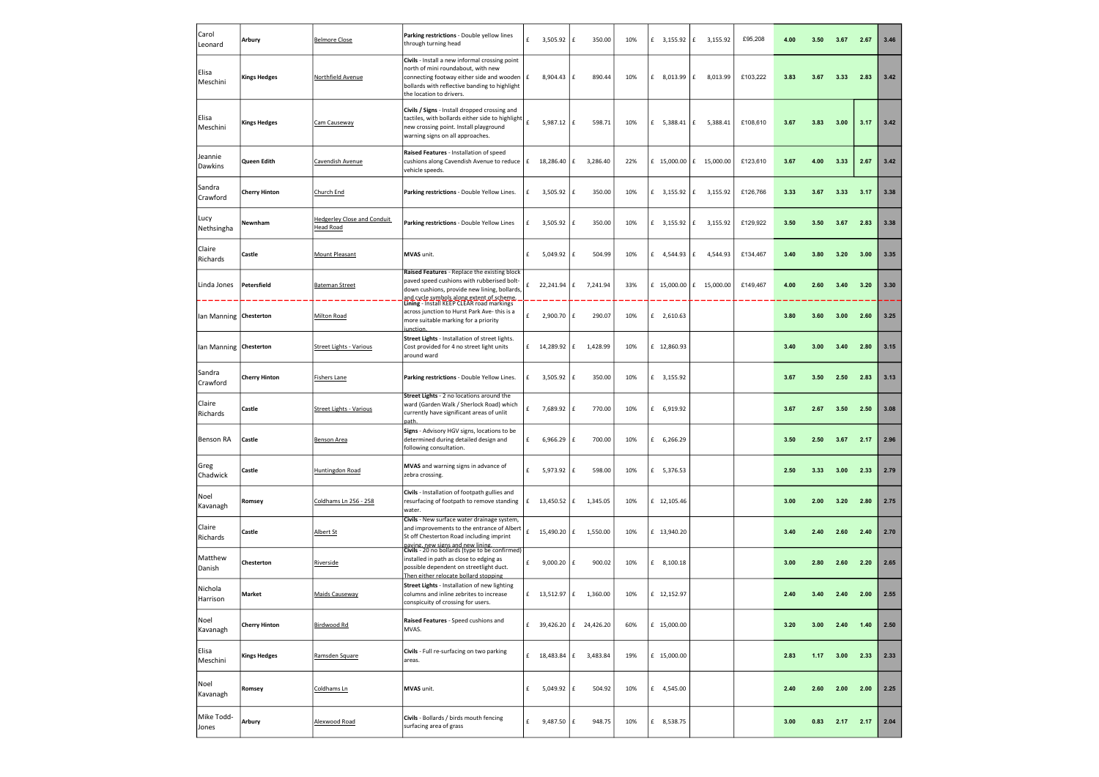| Carol<br>Leonard          | Arbury               | <b>Belmore Close</b>                            | Parking restrictions - Double yellow lines<br>through turning head                                                                                                                                                        | £   | 3,505.92     | l £<br>350.00               | 10% | £ 3,155.92 $ f $    | 3,155.92                   | £95,208  | 4.00 | 3.50 | 3.67 | 2.67 | 3.46 |
|---------------------------|----------------------|-------------------------------------------------|---------------------------------------------------------------------------------------------------------------------------------------------------------------------------------------------------------------------------|-----|--------------|-----------------------------|-----|---------------------|----------------------------|----------|------|------|------|------|------|
| Elisa<br>Meschini         | <b>Kings Hedges</b>  | <b>Northfield Avenue</b>                        | Civils - Install a new informal crossing point<br>north of mini roundabout, with new<br>connecting footway either side and wooden $\vert$ £<br>bollards with reflective banding to highlight<br>the location to drivers.  |     | 8,904.43     | 890.44<br>l £               | 10% | £ 8,013.99          | f<br>8,013.99              | £103,222 | 3.83 | 3.67 | 3.33 | 2.83 | 3.42 |
| Elisa<br>Meschini         | <b>Kings Hedges</b>  | Cam Causeway                                    | Civils / Signs - Install dropped crossing and<br>tactiles, with bollards either side to highlight<br>new crossing point. Install playground<br>warning signs on all approaches.                                           |     | 5,987.12     | l £<br>598.71               | 10% | £ $5,388.41 \mid f$ | 5,388.41                   | £108,610 | 3.67 | 3.83 | 3.00 | 3.17 | 3.42 |
| Jeannie<br><b>Dawkins</b> | Queen Edith          | Cavendish Avenue                                | Raised Features - Installation of speed<br>cushions along Cavendish Avenue to reduce<br>vehicle speeds.                                                                                                                   | l £ | 18,286.40    | ١£<br>3,286.40              | 22% |                     | £ 15,000.00 $ E$ 15,000.00 | £123,610 | 3.67 | 4.00 | 3.33 | 2.67 | 3.42 |
| Sandra<br>Crawford        | <b>Cherry Hinton</b> | Church End                                      | Parking restrictions - Double Yellow Lines.                                                                                                                                                                               | £   | 3,505.92     | 350.00<br>£                 | 10% | £ 3,155.92          | f<br>3,155.92              | £126,766 | 3.33 | 3.67 | 3.33 | 3.17 | 3.38 |
| Lucy<br>Nethsingha        | Newnham              | <b>Hedgerley Close and Conduit</b><br>Head Road | Parking restrictions - Double Yellow Lines                                                                                                                                                                                | £   | 3,505.92     | 350.00<br>£                 | 10% | £ 3,155.92 $ f $    | 3,155.92                   | £129,922 | 3.50 | 3.50 | 3.67 | 2.83 | 3.38 |
| Claire<br>Richards        | Castle               | <b>Mount Pleasant</b>                           | MVAS unit.                                                                                                                                                                                                                | £   | 5,049.92     | 504.99<br>£                 | 10% | £ 4,544.93          | £<br>4,544.93              | £134,467 | 3.40 | 3.80 | 3.20 | 3.00 | 3.35 |
| Linda Jones               | <b>Petersfield</b>   | <b>Bateman Street</b>                           | Raised Features - Replace the existing block<br>paved speed cushions with rubberised bolt-<br>down cushions, provide new lining, bollards,                                                                                |     | 22,241.94    | l £<br>7,241.94             | 33% |                     | £ 15,000.00 $ E$ 15,000.00 | £149,467 | 4.00 | 2.60 | 3.40 | 3.20 | 3.30 |
| lan Manning   Chesterton  |                      | <b>Milton Road</b>                              | and.cycle.symbols.along.extent.of.scheme.<br>  <mark>Lining</mark> - Install KEEP CLEAR road markings<br>across junction to Hurst Park Ave-this is a<br>more suitable marking for a priority<br>iunction.                 | £   | 2,900.70     | 290.07<br>l £               | 10% | $£$ 2,610.63        |                            |          | 3.80 | 3.60 | 3.00 | 2.60 | 3.25 |
| lan Manning               | Chesterton           | <b>Street Lights - Various</b>                  | Street Lights - Installation of street lights.<br>Cost provided for 4 no street light units<br>around ward                                                                                                                |     | £ 14,289.92  | £<br>1,428.99               | 10% | £ 12,860.93         |                            |          | 3.40 | 3.00 | 3.40 | 2.80 | 3.15 |
| Sandra<br>Crawford        | <b>Cherry Hinton</b> | <b>Fishers Lane</b>                             | Parking restrictions - Double Yellow Lines.                                                                                                                                                                               | £   | 3,505.92     | £<br>350.00                 | 10% | £ 3,155.92          |                            |          | 3.67 | 3.50 | 2.50 | 2.83 | 3.13 |
| Claire<br>Richards        | Castle               | <b>Street Lights - Various</b>                  | Street Lights - 2 no locations around the<br>ward (Garden Walk / Sherlock Road) which<br>currently have significant areas of unlit<br>path                                                                                | £   | 7,689.92     | 770.00<br>£                 | 10% | £ 6,919.92          |                            |          | 3.67 | 2.67 | 3.50 | 2.50 | 3.08 |
| <b>Benson RA</b>          | Lastie               | <u>Benson Area</u>                              | Signs - Advisory HGV signs, locations to be<br>determined during detailed design and<br>following consultation.                                                                                                           |     | 6,966.29   £ | 700.00                      | 10% | 6,266.29            |                            |          |      |      |      |      | 2.96 |
| Greg<br>Chadwick          | Castle               | <b>Huntingdon Road</b>                          | MVAS and warning signs in advance of<br>zebra crossing.                                                                                                                                                                   | £   | 5,973.92     | 598.00<br>l £               | 10% | £ 5,376.53          |                            |          | 2.50 | 3.33 | 3.00 | 2.33 | 2.79 |
| Noel<br>Kavanagh          | Romsey               | Coldhams Ln 256 - 258                           | Civils - Installation of footpath gullies and<br>resurfacing of footpath to remove standing<br>water.                                                                                                                     | £   | 13,450.52 £  | 1,345.05                    | 10% | £ 12,105.46         |                            |          | 3.00 | 2.00 | 3.20 | 2.80 | 2.75 |
| Claire<br>Richards        | Castle               | <u>Albert St</u>                                | Civils - New surface water drainage system,<br>and improvements to the entrance of Albert<br>St off Chesterton Road including imprint                                                                                     | £   | 15,490.20    | f <br>1,550.00              | 10% | £ 13,940.20         |                            |          | 3.40 | 2.40 | 2.60 | 2.40 | 2.70 |
| Matthew<br>Danish         | Chesterton           | Riverside                                       | paving, new signs and new lining.<br><b>Civils</b> - 20 no bollards (type to be confirmed)<br>installed in path as close to edging as<br>possible dependent on streetlight duct.<br>Then either relocate bollard stopping | £   | 9,000.20     | l £<br>900.02               | 10% | £ 8,100.18          |                            |          | 3.00 | 2.80 | 2.60 | 2.20 | 2.65 |
| Nichola<br>Harrison       | <b>Market</b>        | Maids Causeway                                  | Street Lights - Installation of new lighting<br>columns and inline zebrites to increase<br>conspicuity of crossing for users.                                                                                             |     | £ 13,512.97  | l £<br>1,360.00             | 10% | £ 12,152.97         |                            |          | 2.40 | 3.40 | 2.40 | 2.00 | 2.55 |
| Noel<br>Kavanagh          | <b>Cherry Hinton</b> | Birdwood Rd                                     | Raised Features - Speed cushions and<br>MVAS.                                                                                                                                                                             |     |              | £ 39,426.20 $ f $ 24,426.20 | 60% | £ 15,000.00         |                            |          | 3.20 | 3.00 | 2.40 | 1.40 | 2.50 |
| Elisa<br>Meschini         | <b>Kings Hedges</b>  | Ramsden Square                                  | Civils - Full re-surfacing on two parking<br>areas.                                                                                                                                                                       | £   | 18,483.84    | l £<br>3,483.84             | 19% | £ 15,000.00         |                            |          | 2.83 | 1.17 | 3.00 | 2.33 | 2.33 |
| Noel<br>Kavanagh          | Romsey               | Coldhams Ln                                     | MVAS unit.                                                                                                                                                                                                                | £   | $5,049.92$ £ | 504.92                      | 10% | £ 4,545.00          |                            |          | 2.40 | 2.60 | 2.00 | 2.00 | 2.25 |
| Mike Todd-<br>Jones       | Arbury               | Alexwood Road                                   | Civils - Bollards / birds mouth fencing<br>surfacing area of grass                                                                                                                                                        | £   | $9,487.50$ £ | 948.75                      | 10% | £ 8,538.75          |                            |          | 3.00 | 0.83 | 2.17 | 2.17 | 2.04 |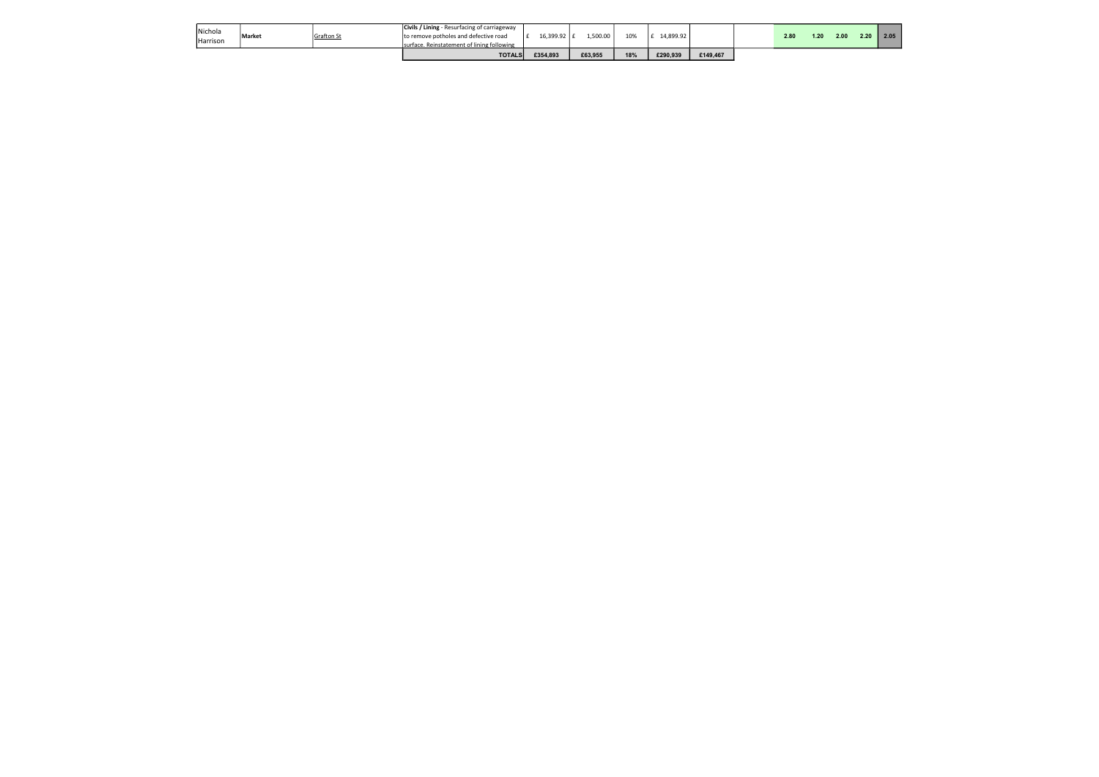| Harrison |               |                   | Isurface. Reinstatement of lining following<br><b>TOTALS</b>                                 | £354.893      | £63,955  | 18% | £290.939  | £149.467 |      |      |
|----------|---------------|-------------------|----------------------------------------------------------------------------------------------|---------------|----------|-----|-----------|----------|------|------|
| Nichola  | <b>Market</b> | <b>Grafton St</b> | <b>Civils / Lining</b> - Resurfacing of carriageway<br>to remove potholes and defective road | 16,399.92   £ | .,500.00 | 10% | 14,899.92 |          | 2.80 | 1.20 |

| 2.00<br>2.20<br>05<br>2. |
|--------------------------|
|--------------------------|